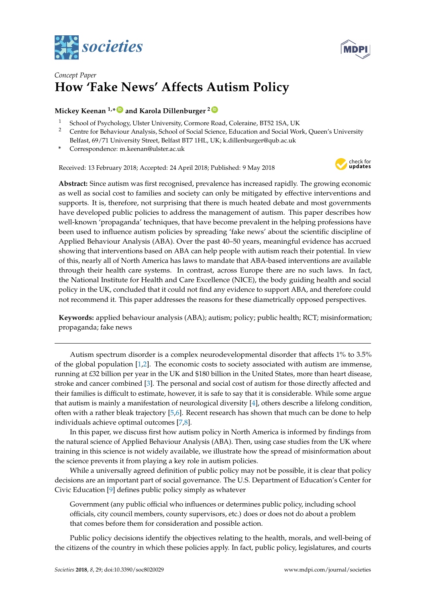



# *Concept Paper* **How 'Fake News' Affects Autism Policy**

# **Mickey Keenan 1,\* [ID](https://orcid.org/0000-0002-5579-9169) and Karola Dillenburger <sup>2</sup> [ID](https://orcid.org/0000-0002-3410-5949)**

- 1 School of Psychology, Ulster University, Cormore Road, Coleraine, BT52 1SA, UK<br>2 Centre for Behaviour Analysis, School of Social Science, Education and Social Wor
- <sup>2</sup> Centre for Behaviour Analysis, School of Social Science, Education and Social Work, Queen's University Belfast, 69/71 University Street, Belfast BT7 1HL, UK; k.dillenburger@qub.ac.uk
- **\*** Correspondence: m.keenan@ulster.ac.uk

Received: 13 February 2018; Accepted: 24 April 2018; Published: 9 May 2018



**Abstract:** Since autism was first recognised, prevalence has increased rapidly. The growing economic as well as social cost to families and society can only be mitigated by effective interventions and supports. It is, therefore, not surprising that there is much heated debate and most governments have developed public policies to address the management of autism. This paper describes how well-known 'propaganda' techniques, that have become prevalent in the helping professions have been used to influence autism policies by spreading 'fake news' about the scientific discipline of Applied Behaviour Analysis (ABA). Over the past 40–50 years, meaningful evidence has accrued showing that interventions based on ABA can help people with autism reach their potential. In view of this, nearly all of North America has laws to mandate that ABA-based interventions are available through their health care systems. In contrast, across Europe there are no such laws. In fact, the National Institute for Health and Care Excellence (NICE), the body guiding health and social policy in the UK, concluded that it could not find any evidence to support ABA, and therefore could not recommend it. This paper addresses the reasons for these diametrically opposed perspectives.

**Keywords:** applied behaviour analysis (ABA); autism; policy; public health; RCT; misinformation; propaganda; fake news

Autism spectrum disorder is a complex neurodevelopmental disorder that affects 1% to 3.5% of the global population [\[1,](#page-13-0)[2\]](#page-13-1). The economic costs to society associated with autism are immense, running at £32 billion per year in the UK and \$180 billion in the United States, more than heart disease, stroke and cancer combined [\[3\]](#page-13-2). The personal and social cost of autism for those directly affected and their families is difficult to estimate, however, it is safe to say that it is considerable. While some argue that autism is mainly a manifestation of neurological diversity [\[4\]](#page-13-3), others describe a lifelong condition, often with a rather bleak trajectory [\[5,](#page-13-4)[6\]](#page-13-5). Recent research has shown that much can be done to help individuals achieve optimal outcomes [\[7,](#page-13-6)[8\]](#page-13-7).

In this paper, we discuss first how autism policy in North America is informed by findings from the natural science of Applied Behaviour Analysis (ABA). Then, using case studies from the UK where training in this science is not widely available, we illustrate how the spread of misinformation about the science prevents it from playing a key role in autism policies.

While a universally agreed definition of public policy may not be possible, it is clear that policy decisions are an important part of social governance. The U.S. Department of Education's Center for Civic Education [\[9\]](#page-13-8) defines public policy simply as whatever

Government (any public official who influences or determines public policy, including school officials, city council members, county supervisors, etc.) does or does not do about a problem that comes before them for consideration and possible action.

Public policy decisions identify the objectives relating to the health, morals, and well-being of the citizens of the country in which these policies apply. In fact, public policy, legislatures, and courts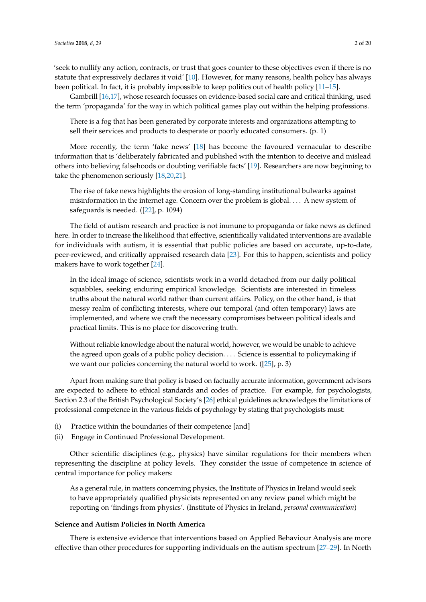'seek to nullify any action, contracts, or trust that goes counter to these objectives even if there is no statute that expressively declares it void' [\[10\]](#page-13-9). However, for many reasons, health policy has always been political. In fact, it is probably impossible to keep politics out of health policy [\[11–](#page-13-10)[15\]](#page-13-11).

Gambrill [\[16](#page-13-12)[,17\]](#page-13-13), whose research focusses on evidence-based social care and critical thinking, used the term 'propaganda' for the way in which political games play out within the helping professions.

There is a fog that has been generated by corporate interests and organizations attempting to sell their services and products to desperate or poorly educated consumers. (p. 1)

More recently, the term 'fake news' [\[18\]](#page-13-14) has become the favoured vernacular to describe information that is 'deliberately fabricated and published with the intention to deceive and mislead others into believing falsehoods or doubting verifiable facts' [\[19\]](#page-13-15). Researchers are now beginning to take the phenomenon seriously [\[18](#page-13-14)[,20](#page-13-16)[,21\]](#page-13-17).

The rise of fake news highlights the erosion of long-standing institutional bulwarks against misinformation in the internet age. Concern over the problem is global. . . . A new system of safeguards is needed. ([\[22\]](#page-13-18), p. 1094)

The field of autism research and practice is not immune to propaganda or fake news as defined here. In order to increase the likelihood that effective, scientifically validated interventions are available for individuals with autism, it is essential that public policies are based on accurate, up-to-date, peer-reviewed, and critically appraised research data [\[23\]](#page-14-0). For this to happen, scientists and policy makers have to work together [\[24\]](#page-14-1).

In the ideal image of science, scientists work in a world detached from our daily political squabbles, seeking enduring empirical knowledge. Scientists are interested in timeless truths about the natural world rather than current affairs. Policy, on the other hand, is that messy realm of conflicting interests, where our temporal (and often temporary) laws are implemented, and where we craft the necessary compromises between political ideals and practical limits. This is no place for discovering truth.

Without reliable knowledge about the natural world, however, we would be unable to achieve the agreed upon goals of a public policy decision. . . . Science is essential to policymaking if we want our policies concerning the natural world to work. ([\[25\]](#page-14-2), p. 3)

Apart from making sure that policy is based on factually accurate information, government advisors are expected to adhere to ethical standards and codes of practice. For example, for psychologists, Section 2.3 of the British Psychological Society's [\[26\]](#page-14-3) ethical guidelines acknowledges the limitations of professional competence in the various fields of psychology by stating that psychologists must:

- (i) Practice within the boundaries of their competence [and]
- (ii) Engage in Continued Professional Development.

Other scientific disciplines (e.g., physics) have similar regulations for their members when representing the discipline at policy levels. They consider the issue of competence in science of central importance for policy makers:

As a general rule, in matters concerning physics, the Institute of Physics in Ireland would seek to have appropriately qualified physicists represented on any review panel which might be reporting on 'findings from physics'. (Institute of Physics in Ireland, *personal communication*)

#### **Science and Autism Policies in North America**

There is extensive evidence that interventions based on Applied Behaviour Analysis are more effective than other procedures for supporting individuals on the autism spectrum [\[27](#page-14-4)[–29\]](#page-14-5). In North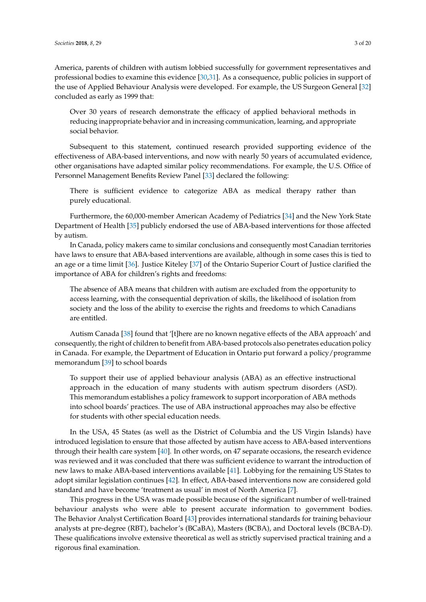America, parents of children with autism lobbied successfully for government representatives and professional bodies to examine this evidence [\[30,](#page-14-6)[31\]](#page-14-7). As a consequence, public policies in support of the use of Applied Behaviour Analysis were developed. For example, the US Surgeon General [\[32\]](#page-14-8) concluded as early as 1999 that:

Over 30 years of research demonstrate the efficacy of applied behavioral methods in reducing inappropriate behavior and in increasing communication, learning, and appropriate social behavior.

Subsequent to this statement, continued research provided supporting evidence of the effectiveness of ABA-based interventions, and now with nearly 50 years of accumulated evidence, other organisations have adapted similar policy recommendations. For example, the U.S. Office of Personnel Management Benefits Review Panel [\[33\]](#page-14-9) declared the following:

There is sufficient evidence to categorize ABA as medical therapy rather than purely educational.

Furthermore, the 60,000-member American Academy of Pediatrics [\[34\]](#page-14-10) and the New York State Department of Health [\[35\]](#page-14-11) publicly endorsed the use of ABA-based interventions for those affected by autism.

In Canada, policy makers came to similar conclusions and consequently most Canadian territories have laws to ensure that ABA-based interventions are available, although in some cases this is tied to an age or a time limit [\[36\]](#page-14-12). Justice Kiteley [\[37\]](#page-14-13) of the Ontario Superior Court of Justice clarified the importance of ABA for children's rights and freedoms:

The absence of ABA means that children with autism are excluded from the opportunity to access learning, with the consequential deprivation of skills, the likelihood of isolation from society and the loss of the ability to exercise the rights and freedoms to which Canadians are entitled.

Autism Canada [\[38\]](#page-14-14) found that '[t]here are no known negative effects of the ABA approach' and consequently, the right of children to benefit from ABA-based protocols also penetrates education policy in Canada. For example, the Department of Education in Ontario put forward a policy/programme memorandum [\[39\]](#page-14-15) to school boards

To support their use of applied behaviour analysis (ABA) as an effective instructional approach in the education of many students with autism spectrum disorders (ASD). This memorandum establishes a policy framework to support incorporation of ABA methods into school boards' practices. The use of ABA instructional approaches may also be effective for students with other special education needs.

In the USA, 45 States (as well as the District of Columbia and the US Virgin Islands) have introduced legislation to ensure that those affected by autism have access to ABA-based interventions through their health care system [\[40\]](#page-14-16). In other words, on 47 separate occasions, the research evidence was reviewed and it was concluded that there was sufficient evidence to warrant the introduction of new laws to make ABA-based interventions available [\[41\]](#page-15-0). Lobbying for the remaining US States to adopt similar legislation continues [\[42\]](#page-15-1). In effect, ABA-based interventions now are considered gold standard and have become 'treatment as usual' in most of North America [\[7\]](#page-13-6).

This progress in the USA was made possible because of the significant number of well-trained behaviour analysts who were able to present accurate information to government bodies. The Behavior Analyst Certification Board [\[43\]](#page-15-2) provides international standards for training behaviour analysts at pre-degree (RBT), bachelor's (BCaBA), Masters (BCBA), and Doctoral levels (BCBA-D). These qualifications involve extensive theoretical as well as strictly supervised practical training and a rigorous final examination.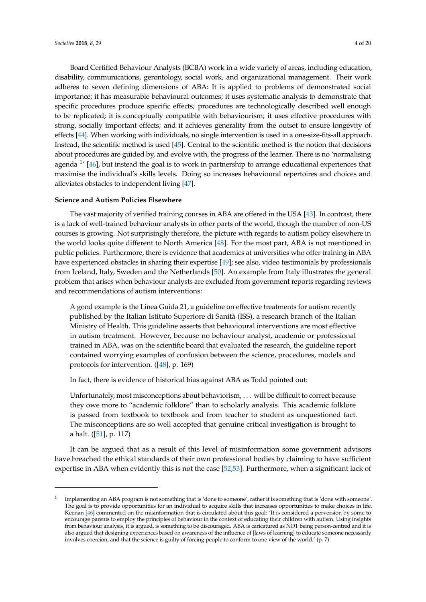Board Certified Behaviour Analysts (BCBA) work in a wide variety of areas, including education, disability, communications, gerontology, social work, and organizational management. Their work adheres to seven defining dimensions of ABA: It is applied to problems of demonstrated social importance; it has measurable behavioural outcomes; it uses systematic analysis to demonstrate that specific procedures produce specific effects; procedures are technologically described well enough to be replicated; it is conceptually compatible with behaviourism; it uses effective procedures with strong, socially important effects; and it achieves generality from the outset to ensure longevity of effects [\[44\]](#page-15-3). When working with individuals, no single intervention is used in a one-size-fits-all approach. Instead, the scientific method is used [\[45\]](#page-15-4). Central to the scientific method is the notion that decisions about procedures are guided by, and evolve with, the progress of the learner. There is no 'normalising agenda  $1'$  [\[46\]](#page-15-5), but instead the goal is to work in partnership to arrange educational experiences that maximise the individual's skills levels. Doing so increases behavioural repertoires and choices and alleviates obstacles to independent living [\[47\]](#page-15-6).

#### **Science and Autism Policies Elsewhere**

The vast majority of verified training courses in ABA are offered in the USA [\[43\]](#page-15-2). In contrast, there is a lack of well-trained behaviour analysts in other parts of the world, though the number of non-US courses is growing. Not surprisingly therefore, the picture with regards to autism policy elsewhere in the world looks quite different to North America [\[48\]](#page-15-7). For the most part, ABA is not mentioned in public policies. Furthermore, there is evidence that academics at universities who offer training in ABA have experienced obstacles in sharing their expertise [\[49\]](#page-15-8); see also, video testimonials by professionals from Iceland, Italy, Sweden and the Netherlands [\[50\]](#page-15-9). An example from Italy illustrates the general problem that arises when behaviour analysts are excluded from government reports regarding reviews and recommendations of autism interventions:

A good example is the Linea Guida 21, a guideline on effective treatments for autism recently published by the Italian Istituto Superiore di Sanità (ISS), a research branch of the Italian Ministry of Health. This guideline asserts that behavioural interventions are most effective in autism treatment. However, because no behaviour analyst, academic or professional trained in ABA, was on the scientific board that evaluated the research, the guideline report contained worrying examples of confusion between the science, procedures, models and protocols for intervention. ([\[48\]](#page-15-7), p. 169)

In fact, there is evidence of historical bias against ABA as Todd pointed out:

Unfortunately, most misconceptions about behaviorism, . . . will be difficult to correct because they owe more to "academic folklore" than to scholarly analysis. This academic folklore is passed from textbook to textbook and from teacher to student as unquestioned fact. The misconceptions are so well accepted that genuine critical investigation is brought to a halt. ([\[51\]](#page-15-10), p. 117)

It can be argued that as a result of this level of misinformation some government advisors have breached the ethical standards of their own professional bodies by claiming to have sufficient expertise in ABA when evidently this is not the case [\[52](#page-15-11)[,53\]](#page-15-12). Furthermore, when a significant lack of

<sup>1</sup> Implementing an ABA program is not something that is 'done to someone', rather it is something that is 'done with someone'. The goal is to provide opportunities for an individual to acquire skills that increases opportunities to make choices in life. Keenan [\[46\]](#page-15-5) commented on the misinformation that is circulated about this goal: 'It is considered a perversion by some to encourage parents to employ the principles of behaviour in the context of educating their children with autism. Using insights from behaviour analysis, it is argued, is something to be discouraged. ABA is caricatured as NOT being person-centred and it is also argued that designing experiences based on awareness of the influence of [laws of learning] to educate someone necessarily involves coercion, and that the science is guilty of forcing people to conform to one view of the world.' (p. 7)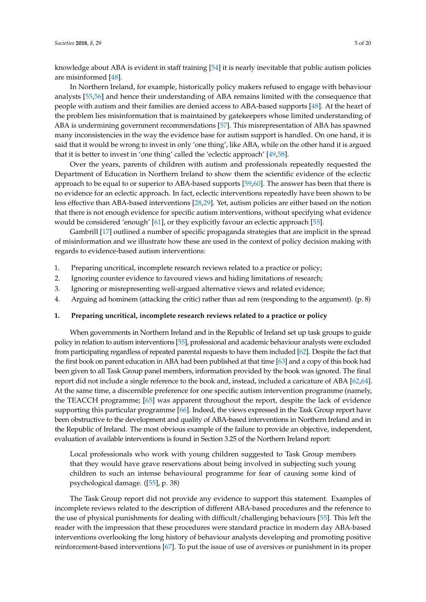knowledge about ABA is evident in staff training [\[54\]](#page-15-13) it is nearly inevitable that public autism policies are misinformed [\[48\]](#page-15-7).

In Northern Ireland, for example, historically policy makers refused to engage with behaviour analysts [\[55](#page-15-14)[,56\]](#page-15-15) and hence their understanding of ABA remains limited with the consequence that people with autism and their families are denied access to ABA-based supports [\[48\]](#page-15-7). At the heart of the problem lies misinformation that is maintained by gatekeepers whose limited understanding of ABA is undermining government recommendations [\[57\]](#page-15-16). This misrepresentation of ABA has spawned many inconsistencies in the way the evidence base for autism support is handled. On one hand, it is said that it would be wrong to invest in only 'one thing', like ABA, while on the other hand it is argued that it is better to invest in 'one thing' called the 'eclectic approach' [\[49,](#page-15-8)[58\]](#page-15-17).

Over the years, parents of children with autism and professionals repeatedly requested the Department of Education in Northern Ireland to show them the scientific evidence of the eclectic approach to be equal to or superior to ABA-based supports [\[59,](#page-15-18)[60\]](#page-15-19). The answer has been that there is no evidence for an eclectic approach. In fact, eclectic interventions repeatedly have been shown to be less effective than ABA-based interventions [\[28](#page-14-17)[,29\]](#page-14-5). Yet, autism policies are either based on the notion that there is not enough evidence for specific autism interventions, without specifying what evidence would be considered 'enough' [\[61\]](#page-15-20), or they explicitly favour an eclectic approach [\[55\]](#page-15-14).

Gambrill [\[17\]](#page-13-13) outlined a number of specific propaganda strategies that are implicit in the spread of misinformation and we illustrate how these are used in the context of policy decision making with regards to evidence-based autism interventions:

- 1. Preparing uncritical, incomplete research reviews related to a practice or policy;
- 2. Ignoring counter evidence to favoured views and hiding limitations of research;
- 3. Ignoring or misrepresenting well-argued alternative views and related evidence;
- 4. Arguing ad hominem (attacking the critic) rather than ad rem (responding to the argument). (p. 8)

# **1. Preparing uncritical, incomplete research reviews related to a practice or policy**

When governments in Northern Ireland and in the Republic of Ireland set up task groups to guide policy in relation to autism interventions [\[55\]](#page-15-14), professional and academic behaviour analysts were excluded from participating regardless of repeated parental requests to have them included [\[62\]](#page-15-21). Despite the fact that the first book on parent education in ABA had been published at that time [\[63\]](#page-16-0) and a copy of this book had been given to all Task Group panel members, information provided by the book was ignored. The final report did not include a single reference to the book and, instead, included a caricature of ABA [\[62](#page-15-21)[,64\]](#page-16-1). At the same time, a discernible preference for one specific autism intervention programme (namely, the TEACCH programme; [\[65\]](#page-16-2) was apparent throughout the report, despite the lack of evidence supporting this particular programme [\[66\]](#page-16-3). Indeed, the views expressed in the Task Group report have been obstructive to the development and quality of ABA-based interventions in Northern Ireland and in the Republic of Ireland. The most obvious example of the failure to provide an objective, independent, evaluation of available interventions is found in Section 3.25 of the Northern Ireland report:

Local professionals who work with young children suggested to Task Group members that they would have grave reservations about being involved in subjecting such young children to such an intense behavioural programme for fear of causing some kind of psychological damage. ([\[55\]](#page-15-14), p. 38)

The Task Group report did not provide any evidence to support this statement. Examples of incomplete reviews related to the description of different ABA-based procedures and the reference to the use of physical punishments for dealing with difficult/challenging behaviours [\[55\]](#page-15-14). This left the reader with the impression that these procedures were standard practice in modern day ABA-based interventions overlooking the long history of behaviour analysts developing and promoting positive reinforcement-based interventions [\[67\]](#page-16-4). To put the issue of use of aversives or punishment in its proper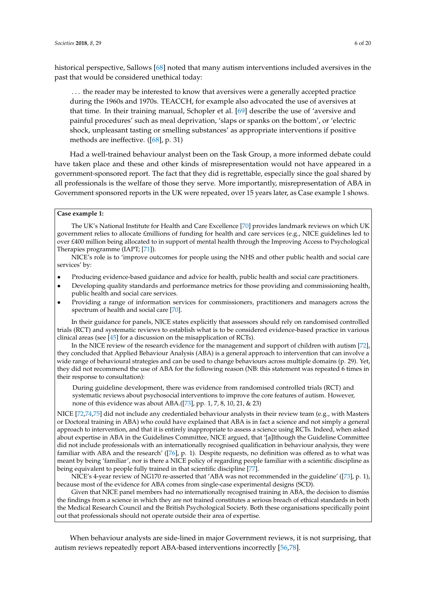historical perspective, Sallows [\[68\]](#page-16-5) noted that many autism interventions included aversives in the past that would be considered unethical today:

. . . the reader may be interested to know that aversives were a generally accepted practice during the 1960s and 1970s. TEACCH, for example also advocated the use of aversives at that time. In their training manual, Schopler et al. [\[69\]](#page-16-6) describe the use of 'aversive and painful procedures' such as meal deprivation, 'slaps or spanks on the bottom', or 'electric shock, unpleasant tasting or smelling substances' as appropriate interventions if positive methods are ineffective. ([\[68\]](#page-16-5), p. 31)

Had a well-trained behaviour analyst been on the Task Group, a more informed debate could have taken place and these and other kinds of misrepresentation would not have appeared in a government-sponsored report. The fact that they did is regrettable, especially since the goal shared by all professionals is the welfare of those they serve. More importantly, misrepresentation of ABA in Government sponsored reports in the UK were repeated, over 15 years later, as Case example 1 shows.

#### **Case example 1:**

The UK's National Institute for Health and Care Excellence [\[70\]](#page-16-7) provides landmark reviews on which UK government relies to allocate £millions of funding for health and care services (e.g., NICE guidelines led to over £400 million being allocated to in support of mental health through the Improving Access to Psychological Therapies programme (IAPT; [\[71\]](#page-16-8)).

NICE's role is to 'improve outcomes for people using the NHS and other public health and social care services' by:

- Producing evidence-based guidance and advice for health, public health and social care practitioners.
- Developing quality standards and performance metrics for those providing and commissioning health, public health and social care services.
- Providing a range of information services for commissioners, practitioners and managers across the spectrum of health and social care [\[70\]](#page-16-7).

In their guidance for panels, NICE states explicitly that assessors should rely on randomised controlled trials (RCT) and systematic reviews to establish what is to be considered evidence-based practice in various clinical areas (see [\[45\]](#page-15-4) for a discussion on the misapplication of RCTs).

In the NICE review of the research evidence for the management and support of children with autism [\[72\]](#page-16-9), they concluded that Applied Behaviour Analysis (ABA) is a general approach to intervention that can involve a wide range of behavioural strategies and can be used to change behaviours across multiple domains (p. 29). Yet, they did not recommend the use of ABA for the following reason (NB: this statement was repeated 6 times in their response to consultation):

During guideline development, there was evidence from randomised controlled trials (RCT) and systematic reviews about psychosocial interventions to improve the core features of autism. However, none of this evidence was about ABA.([\[73\]](#page-16-10), pp. 1, 7, 8, 10, 21, & 23)

NICE [\[72](#page-16-9)[,74,](#page-16-11)[75\]](#page-16-12) did not include any credentialed behaviour analysts in their review team (e.g., with Masters or Doctoral training in ABA) who could have explained that ABA is in fact a science and not simply a general approach to intervention, and that it is entirely inappropriate to assess a science using RCTs. Indeed, when asked about expertise in ABA in the Guidelines Committee, NICE argued, that '[a]lthough the Guideline Committee did not include professionals with an internationally recognised qualification in behaviour analysis, they were familiar with ABA and the research' ([\[76\]](#page-16-13), p. 1). Despite requests, no definition was offered as to what was meant by being 'familiar', nor is there a NICE policy of regarding people familiar with a scientific discipline as being equivalent to people fully trained in that scientific discipline [\[77\]](#page-16-14).

NICE's 4-year review of NG170 re-asserted that 'ABA was not recommended in the guideline' ([\[73\]](#page-16-10), p. 1), because most of the evidence for ABA comes from single-case experimental designs (SCD).

Given that NICE panel members had no internationally recognised training in ABA, the decision to dismiss the findings from a science in which they are not trained constitutes a serious breach of ethical standards in both the Medical Research Council and the British Psychological Society. Both these organisations specifically point out that professionals should not operate outside their area of expertise.

When behaviour analysts are side-lined in major Government reviews, it is not surprising, that autism reviews repeatedly report ABA-based interventions incorrectly [\[56](#page-15-15)[,78\]](#page-16-15).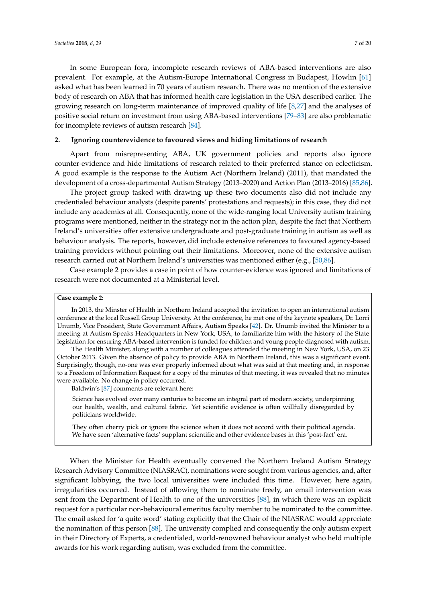In some European fora, incomplete research reviews of ABA-based interventions are also prevalent. For example, at the Autism-Europe International Congress in Budapest, Howlin [\[61\]](#page-15-20) asked what has been learned in 70 years of autism research. There was no mention of the extensive body of research on ABA that has informed health care legislation in the USA described earlier. The growing research on long-term maintenance of improved quality of life [\[8](#page-13-7)[,27\]](#page-14-4) and the analyses of positive social return on investment from using ABA-based interventions [\[79](#page-16-16)[–83\]](#page-16-17) are also problematic for incomplete reviews of autism research [\[84\]](#page-17-0).

#### **2. Ignoring counterevidence to favoured views and hiding limitations of research**

Apart from misrepresenting ABA, UK government policies and reports also ignore counter-evidence and hide limitations of research related to their preferred stance on eclecticism. A good example is the response to the Autism Act (Northern Ireland) (2011), that mandated the development of a cross-departmental Autism Strategy (2013–2020) and Action Plan (2013–2016) [\[85](#page-17-1)[,86\]](#page-17-2).

The project group tasked with drawing up these two documents also did not include any credentialed behaviour analysts (despite parents' protestations and requests); in this case, they did not include any academics at all. Consequently, none of the wide-ranging local University autism training programs were mentioned, neither in the strategy nor in the action plan, despite the fact that Northern Ireland's universities offer extensive undergraduate and post-graduate training in autism as well as behaviour analysis. The reports, however, did include extensive references to favoured agency-based training providers without pointing out their limitations. Moreover, none of the extensive autism research carried out at Northern Ireland's universities was mentioned either (e.g., [\[50](#page-15-9)[,86\]](#page-17-2).

Case example 2 provides a case in point of how counter-evidence was ignored and limitations of research were not documented at a Ministerial level.

#### **Case example 2:**

In 2013, the Minster of Health in Northern Ireland accepted the invitation to open an international autism conference at the local Russell Group University. At the conference, he met one of the keynote speakers, Dr. Lorri Unumb, Vice President, State Government Affairs, Autism Speaks [\[42\]](#page-15-1). Dr. Unumb invited the Minister to a meeting at Autism Speaks Headquarters in New York, USA, to familiarize him with the history of the State legislation for ensuring ABA-based intervention is funded for children and young people diagnosed with autism.

The Health Minister, along with a number of colleagues attended the meeting in New York, USA, on 23 October 2013. Given the absence of policy to provide ABA in Northern Ireland, this was a significant event. Surprisingly, though, no-one was ever properly informed about what was said at that meeting and, in response to a Freedom of Information Request for a copy of the minutes of that meeting, it was revealed that no minutes were available. No change in policy occurred.

Baldwin's [\[87\]](#page-17-3) comments are relevant here:

Science has evolved over many centuries to become an integral part of modern society, underpinning our health, wealth, and cultural fabric. Yet scientific evidence is often willfully disregarded by politicians worldwide.

They often cherry pick or ignore the science when it does not accord with their political agenda. We have seen 'alternative facts' supplant scientific and other evidence bases in this 'post-fact' era.

When the Minister for Health eventually convened the Northern Ireland Autism Strategy Research Advisory Committee (NIASRAC), nominations were sought from various agencies, and, after significant lobbying, the two local universities were included this time. However, here again, irregularities occurred. Instead of allowing them to nominate freely, an email intervention was sent from the Department of Health to one of the universities [\[88\]](#page-17-4), in which there was an explicit request for a particular non-behavioural emeritus faculty member to be nominated to the committee. The email asked for 'a quite word' stating explicitly that the Chair of the NIASRAC would appreciate the nomination of this person [\[88\]](#page-17-4). The university complied and consequently the only autism expert in their Directory of Experts, a credentialed, world-renowned behaviour analyst who held multiple awards for his work regarding autism, was excluded from the committee.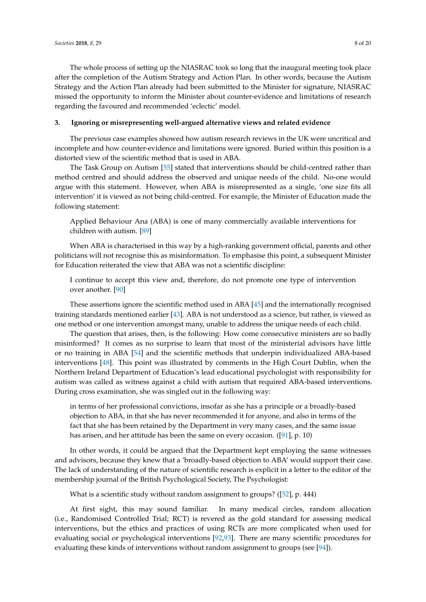The whole process of setting up the NIASRAC took so long that the inaugural meeting took place after the completion of the Autism Strategy and Action Plan. In other words, because the Autism Strategy and the Action Plan already had been submitted to the Minister for signature, NIASRAC missed the opportunity to inform the Minister about counter-evidence and limitations of research regarding the favoured and recommended 'eclectic' model.

#### **3. Ignoring or misrepresenting well-argued alternative views and related evidence**

The previous case examples showed how autism research reviews in the UK were uncritical and incomplete and how counter-evidence and limitations were ignored. Buried within this position is a distorted view of the scientific method that is used in ABA.

The Task Group on Autism [\[55\]](#page-15-14) stated that interventions should be child-centred rather than method centred and should address the observed and unique needs of the child. No-one would argue with this statement. However, when ABA is misrepresented as a single, 'one size fits all intervention' it is viewed as not being child-centred. For example, the Minister of Education made the following statement:

Applied Behaviour Ana (ABA) is one of many commercially available interventions for children with autism. [\[89\]](#page-17-5)

When ABA is characterised in this way by a high-ranking government official, parents and other politicians will not recognise this as misinformation. To emphasise this point, a subsequent Minister for Education reiterated the view that ABA was not a scientific discipline:

I continue to accept this view and, therefore, do not promote one type of intervention over another. [\[90\]](#page-17-6)

These assertions ignore the scientific method used in ABA [\[45\]](#page-15-4) and the internationally recognised training standards mentioned earlier [\[43\]](#page-15-2). ABA is not understood as a science, but rather, is viewed as one method or one intervention amongst many, unable to address the unique needs of each child.

The question that arises, then, is the following: How come consecutive ministers are so badly misinformed? It comes as no surprise to learn that most of the ministerial advisors have little or no training in ABA [\[54\]](#page-15-13) and the scientific methods that underpin individualized ABA-based interventions [\[48\]](#page-15-7). This point was illustrated by comments in the High Court Dublin, when the Northern Ireland Department of Education's lead educational psychologist with responsibility for autism was called as witness against a child with autism that required ABA-based interventions. During cross examination, she was singled out in the following way:

in terms of her professional convictions, insofar as she has a principle or a broadly-based objection to ABA, in that she has never recommended it for anyone, and also in terms of the fact that she has been retained by the Department in very many cases, and the same issue has arisen, and her attitude has been the same on every occasion. ([\[91\]](#page-17-7), p. 10)

In other words, it could be argued that the Department kept employing the same witnesses and advisors, because they knew that a 'broadly-based objection to ABA' would support their case. The lack of understanding of the nature of scientific research is explicit in a letter to the editor of the membership journal of the British Psychological Society, The Psychologist:

What is a scientific study without random assignment to groups? ([\[52\]](#page-15-11), p. 444)

At first sight, this may sound familiar. In many medical circles, random allocation (i.e., Randomised Controlled Trial; RCT) is revered as the gold standard for assessing medical interventions, but the ethics and practices of using RCTs are more complicated when used for evaluating social or psychological interventions [\[92](#page-17-8)[,93\]](#page-17-9). There are many scientific procedures for evaluating these kinds of interventions without random assignment to groups (see [\[94\]](#page-17-10)).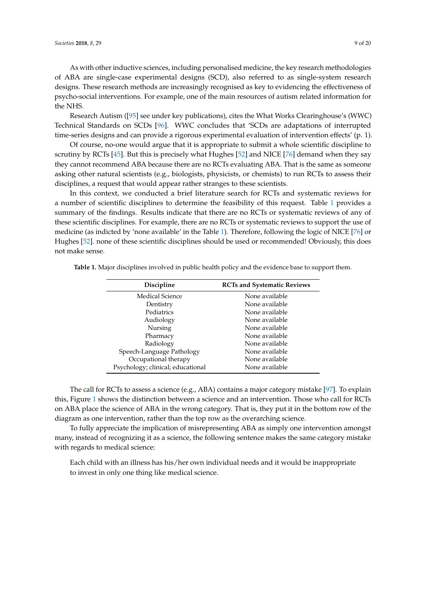As with other inductive sciences, including personalised medicine, the key research methodologies of ABA are single-case experimental designs (SCD), also referred to as single-system research designs. These research methods are increasingly recognised as key to evidencing the effectiveness of psycho-social interventions. For example, one of the main resources of autism related information for the NHS.

Research Autism ([\[95\]](#page-17-11) see under key publications), cites the What Works Clearinghouse's (WWC) Technical Standards on SCDs [\[96\]](#page-17-12). WWC concludes that 'SCDs are adaptations of interrupted time-series designs and can provide a rigorous experimental evaluation of intervention effects' (p. 1).

Of course, no-one would argue that it is appropriate to submit a whole scientific discipline to scrutiny by RCTs [\[45\]](#page-15-4). But this is precisely what Hughes [\[52\]](#page-15-11) and NICE [\[76\]](#page-16-13) demand when they say they cannot recommend ABA because there are no RCTs evaluating ABA. That is the same as someone asking other natural scientists (e.g., biologists, physicists, or chemists) to run RCTs to assess their disciplines, a request that would appear rather stranges to these scientists.

In this context, we conducted a brief literature search for RCTs and systematic reviews for a number of scientific disciplines to determine the feasibility of this request. Table [1](#page-8-0) provides a summary of the findings. Results indicate that there are no RCTs or systematic reviews of any of these scientific disciplines. For example, there are no RCTs or systematic reviews to support the use of medicine (as indicted by 'none available' in the Table [1\)](#page-8-0). Therefore, following the logic of NICE [\[76\]](#page-16-13) or Hughes [\[52\]](#page-15-11). none of these scientific disciplines should be used or recommended! Obviously, this does not make sense.

| <b>Discipline</b>                 | <b>RCTs and Systematic Reviews</b> |
|-----------------------------------|------------------------------------|
| Medical Science                   | None available                     |
| Dentistry                         | None available                     |
| Pediatrics                        | None available                     |
| Audiology                         | None available                     |
| Nursing                           | None available                     |
| Pharmacy                          | None available                     |
| Radiology                         | None available                     |
| Speech-Language Pathology         | None available                     |
| Occupational therapy              | None available                     |
| Psychology; clinical; educational | None available                     |

<span id="page-8-0"></span>**Table 1.** Major disciplines involved in public health policy and the evidence base to support them.

The call for RCTs to assess a science (e.g., ABA) contains a major category mistake [\[97\]](#page-17-13). To explain this, Figure [1](#page-9-0) shows the distinction between a science and an intervention. Those who call for RCTs on ABA place the science of ABA in the wrong category. That is, they put it in the bottom row of the diagram as one intervention, rather than the top row as the overarching science.

To fully appreciate the implication of misrepresenting ABA as simply one intervention amongst many, instead of recognizing it as a science, the following sentence makes the same category mistake with regards to medical science:

Each child with an illness has his/her own individual needs and it would be inappropriate to invest in only one thing like medical science.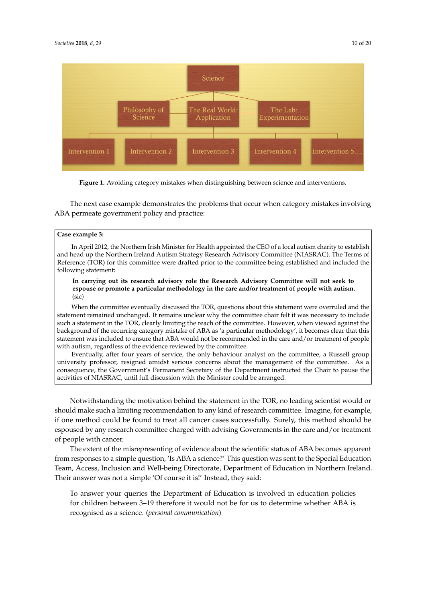<span id="page-9-0"></span>

**Figure 1.** Avoiding category mistakes when distinguishing between science and interventions. **Figure 1.** Avoiding category mistakes when distinguishing between science and interventions.

The next case example demonstrates the problems that occur when category mistakes involving ABA permeate government policy and practice:

#### **Case example 3:**

In April 2012, the Northern Irish Minister for Health appointed the CEO of a local autism charity to establish and head up the Northern Ireland Autism Strategy Research Advisory Committee (NIASRAC). The Terms of The next case of the problems that occur when the problems that occurrence is any community mistakes in a mistake in  $\vert$ Reference (TOR) for this committee were drafted prior to the committee being established and included the

# In carrying out its research advisory role the Research Advisory Committee will not seek to **espouse or promote a particular methodology in the care and/or treatment of people with autism.** (sic)

**Case 1:** When the committee eventually discussed the TOR, questions about this statement were overruled and the such a statement in the TOR, clearly limiting the reach of the committee. However, when viewed against the background of the recurring category mistake of ABA as 'a particular methodology', it becomes clear that this statement was included to ensure that ABA would not be recommended in the care and/or treatment of people  $\vert$ statement remained unchanged. It remains unclear why the committee chair felt it was necessary to include with autism, regardless of the evidence reviewed by the committee.

Eventually, after four years of service, the only behaviour analyst on the committee, a Russell group consequence, the Government's Permanent Secretary of the Department instructed the Chair to pause the activities of NIASRAC, until full discussion with the Minister could be arranged. university professor, resigned amidst serious concerns about the management of the committee. As a

should make such a limiting recommendation to any kind of research committee. Imagine, for example, if one method could be found to treat all cancer cases successfully. Surely, this method should be espoused by any research committee charged with advising Governments in the care and/or treatment of people with cancer. Notwithstanding the motivation behind the statement in the TOR, no leading scientist would or

The extent of the misrepresenting of evidence about the scientific status of ABA becomes apparent from responses to a simple question, 'Is ABA a science?' This question was sent to the Special Education<br>The care and the studies with a science of the Special Contract of the Special Education Their answer was not a simple 'Of course it is!' Instead, they said:  $\mathcal{L}_{\mathcal{A}}$ Team, Access, Inclusion and Well-being Directorate, Department of Education in Northern Ireland.

To answer your queries the Department of Education is involved in education policies for children between  $3-19$  therefore it would not be for us to determine whether ABA is recognised to a selection personal communication, recognised as a science. (*personal communication*)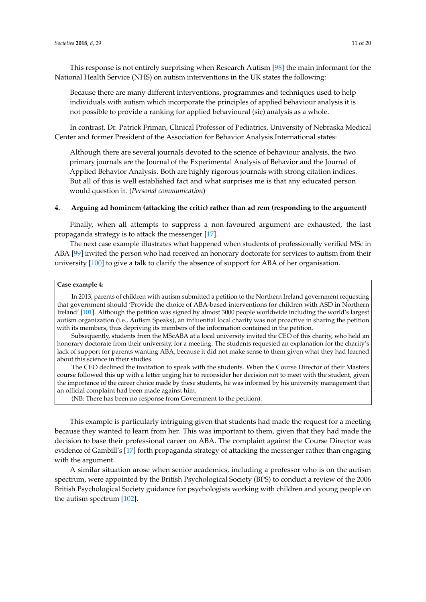This response is not entirely surprising when Research Autism [\[98\]](#page-17-14) the main informant for the National Health Service (NHS) on autism interventions in the UK states the following:

Because there are many different interventions, programmes and techniques used to help individuals with autism which incorporate the principles of applied behaviour analysis it is not possible to provide a ranking for applied behavioural (sic) analysis as a whole.

In contrast, Dr. Patrick Friman, Clinical Professor of Pediatrics, University of Nebraska Medical Center and former President of the Association for Behavior Analysis International states:

Although there are several journals devoted to the science of behaviour analysis, the two primary journals are the Journal of the Experimental Analysis of Behavior and the Journal of Applied Behavior Analysis. Both are highly rigorous journals with strong citation indices. But all of this is well established fact and what surprises me is that any educated person would question it. (*Personal communication*)

#### **4. Arguing ad hominem (attacking the critic) rather than ad rem (responding to the argument)**

Finally, when all attempts to suppress a non-favoured argument are exhausted, the last propaganda strategy is to attack the messenger [\[17\]](#page-13-13).

The next case example illustrates what happened when students of professionally verified MSc in ABA [\[99\]](#page-17-15) invited the person who had received an honorary doctorate for services to autism from their university [\[100\]](#page-17-16) to give a talk to clarify the absence of support for ABA of her organisation.

#### **Case example 4:**

In 2013, parents of children with autism submitted a petition to the Northern Ireland government requesting that government should 'Provide the choice of ABA-based interventions for children with ASD in Northern Ireland' [\[101\]](#page-17-17). Although the petition was signed by almost 3000 people worldwide including the world's largest autism organization (i.e., Autism Speaks), an influential local charity was not proactive in sharing the petition with its members, thus depriving its members of the information contained in the petition.

Subsequently, students from the MScABA at a local university invited the CEO of this charity, who held an honorary doctorate from their university, for a meeting. The students requested an explanation for the charity's lack of support for parents wanting ABA, because it did not make sense to them given what they had learned about this science in their studies.

The CEO declined the invitation to speak with the students. When the Course Director of their Masters course followed this up with a letter urging her to reconsider her decision not to meet with the student, given the importance of the career choice made by these students, he was informed by his university management that an official complaint had been made against him.

(NB: There has been no response from Government to the petition).

This example is particularly intriguing given that students had made the request for a meeting because they wanted to learn from her. This was important to them, given that they had made the decision to base their professional career on ABA. The complaint against the Course Director was evidence of Gambill's [\[17\]](#page-13-13) forth propaganda strategy of attacking the messenger rather than engaging with the argument.

A similar situation arose when senior academics, including a professor who is on the autism spectrum, were appointed by the British Psychological Society (BPS) to conduct a review of the 2006 British Psychological Society guidance for psychologists working with children and young people on the autism spectrum [\[102\]](#page-17-18).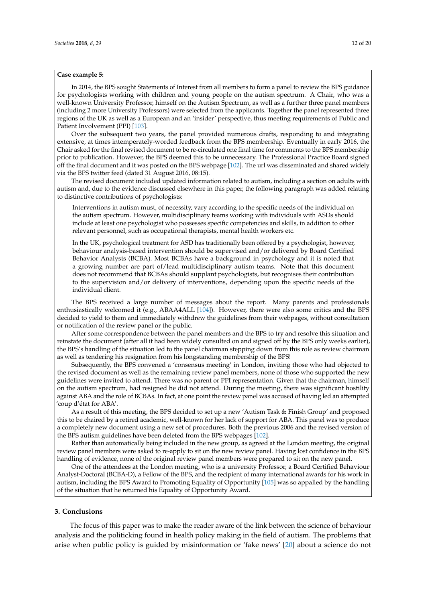#### **Case example 5:**

In 2014, the BPS sought Statements of Interest from all members to form a panel to review the BPS guidance for psychologists working with children and young people on the autism spectrum. A Chair, who was a well-known University Professor, himself on the Autism Spectrum, as well as a further three panel members (including 2 more University Professors) were selected from the applicants. Together the panel represented three regions of the UK as well as a European and an 'insider' perspective, thus meeting requirements of Public and Patient Involvement (PPI) [\[103\]](#page-18-0).

Over the subsequent two years, the panel provided numerous drafts, responding to and integrating extensive, at times intemperately-worded feedback from the BPS membership. Eventually in early 2016, the Chair asked for the final revised document to be re-circulated one final time for comments to the BPS membership prior to publication. However, the BPS deemed this to be unnecessary. The Professional Practice Board signed off the final document and it was posted on the BPS webpage [\[102\]](#page-17-18). The url was disseminated and shared widely via the BPS twitter feed (dated 31 August 2016, 08:15).

The revised document included updated information related to autism, including a section on adults with autism and, due to the evidence discussed elsewhere in this paper, the following paragraph was added relating to distinctive contributions of psychologists:

Interventions in autism must, of necessity, vary according to the specific needs of the individual on the autism spectrum. However, multidisciplinary teams working with individuals with ASDs should include at least one psychologist who possesses specific competencies and skills, in addition to other relevant personnel, such as occupational therapists, mental health workers etc.

In the UK, psychological treatment for ASD has traditionally been offered by a psychologist, however, behaviour analysis-based intervention should be supervised and/or delivered by Board Certified Behavior Analysts (BCBA). Most BCBAs have a background in psychology and it is noted that a growing number are part of/lead multidisciplinary autism teams. Note that this document does not recommend that BCBAs should supplant psychologists, but recognises their contribution to the supervision and/or delivery of interventions, depending upon the specific needs of the individual client.

The BPS received a large number of messages about the report. Many parents and professionals enthusiastically welcomed it (e.g., ABAA4ALL [\[104\]](#page-18-1)). However, there were also some critics and the BPS decided to yield to them and immediately withdrew the guidelines from their webpages, without consultation or notification of the review panel or the public.

After some correspondence between the panel members and the BPS to try and resolve this situation and reinstate the document (after all it had been widely consulted on and signed off by the BPS only weeks earlier), the BPS's handling of the situation led to the panel chairman stepping down from this role as review chairman as well as tendering his resignation from his longstanding membership of the BPS!

Subsequently, the BPS convened a 'consensus meeting' in London, inviting those who had objected to the revised document as well as the remaining review panel members, none of those who supported the new guidelines were invited to attend. There was no parent or PPI representation. Given that the chairman, himself on the autism spectrum, had resigned he did not attend. During the meeting, there was significant hostility against ABA and the role of BCBAs. In fact, at one point the review panel was accused of having led an attempted 'coup d'état for ABA'.

As a result of this meeting, the BPS decided to set up a new 'Autism Task & Finish Group' and proposed this to be chaired by a retired academic, well-known for her lack of support for ABA. This panel was to produce a completely new document using a new set of procedures. Both the previous 2006 and the revised version of the BPS autism guidelines have been deleted from the BPS webpages [\[102\]](#page-17-18).

Rather than automatically being included in the new group, as agreed at the London meeting, the original review panel members were asked to re-apply to sit on the new review panel. Having lost confidence in the BPS handling of evidence, none of the original review panel members were prepared to sit on the new panel.

One of the attendees at the London meeting, who is a university Professor, a Board Certified Behaviour Analyst-Doctoral (BCBA-D), a Fellow of the BPS, and the recipient of many international awards for his work in autism, including the BPS Award to Promoting Equality of Opportunity [\[105\]](#page-18-2) was so appalled by the handling of the situation that he returned his Equality of Opportunity Award.

#### **3. Conclusions**

The focus of this paper was to make the reader aware of the link between the science of behaviour analysis and the politicking found in health policy making in the field of autism. The problems that arise when public policy is guided by misinformation or 'fake news' [\[20\]](#page-13-16) about a science do not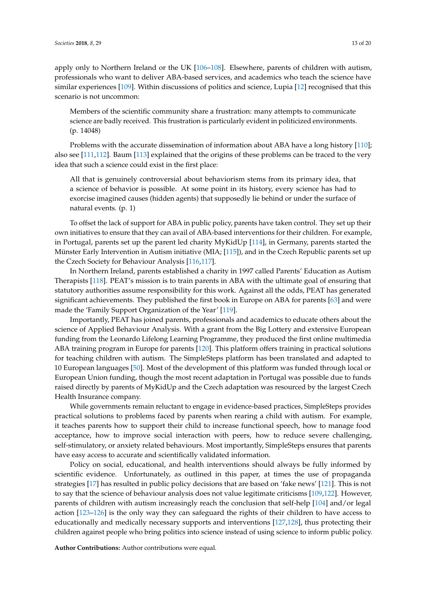apply only to Northern Ireland or the UK [\[106–](#page-18-3)[108\]](#page-18-4). Elsewhere, parents of children with autism, professionals who want to deliver ABA-based services, and academics who teach the science have similar experiences [\[109\]](#page-18-5). Within discussions of politics and science, Lupia [\[12\]](#page-13-19) recognised that this scenario is not uncommon:

Members of the scientific community share a frustration: many attempts to communicate science are badly received. This frustration is particularly evident in politicized environments. (p. 14048)

Problems with the accurate dissemination of information about ABA have a long history [\[110\]](#page-18-6); also see [\[111,](#page-18-7)[112\]](#page-18-8). Baum [\[113\]](#page-18-9) explained that the origins of these problems can be traced to the very idea that such a science could exist in the first place:

All that is genuinely controversial about behaviorism stems from its primary idea, that a science of behavior is possible. At some point in its history, every science has had to exorcise imagined causes (hidden agents) that supposedly lie behind or under the surface of natural events. (p. 1)

To offset the lack of support for ABA in public policy, parents have taken control. They set up their own initiatives to ensure that they can avail of ABA-based interventions for their children. For example, in Portugal, parents set up the parent led charity MyKidUp [\[114\]](#page-18-10), in Germany, parents started the Münster Early Intervention in Autism initiative (MIA; [\[115\]](#page-18-11)), and in the Czech Republic parents set up the Czech Society for Behaviour Analysis [\[116,](#page-18-12)[117\]](#page-18-13).

In Northern Ireland, parents established a charity in 1997 called Parents' Education as Autism Therapists [\[118\]](#page-18-14). PEAT's mission is to train parents in ABA with the ultimate goal of ensuring that statutory authorities assume responsibility for this work. Against all the odds, PEAT has generated significant achievements. They published the first book in Europe on ABA for parents [\[63\]](#page-16-0) and were made the 'Family Support Organization of the Year' [\[119\]](#page-18-15).

Importantly, PEAT has joined parents, professionals and academics to educate others about the science of Applied Behaviour Analysis. With a grant from the Big Lottery and extensive European funding from the Leonardo Lifelong Learning Programme, they produced the first online multimedia ABA training program in Europe for parents [\[120\]](#page-18-16). This platform offers training in practical solutions for teaching children with autism. The SimpleSteps platform has been translated and adapted to 10 European languages [\[50\]](#page-15-9). Most of the development of this platform was funded through local or European Union funding, though the most recent adaptation in Portugal was possible due to funds raised directly by parents of MyKidUp and the Czech adaptation was resourced by the largest Czech Health Insurance company.

While governments remain reluctant to engage in evidence-based practices, SimpleSteps provides practical solutions to problems faced by parents when rearing a child with autism. For example, it teaches parents how to support their child to increase functional speech, how to manage food acceptance, how to improve social interaction with peers, how to reduce severe challenging, self-stimulatory, or anxiety related behaviours. Most importantly, SimpleSteps ensures that parents have easy access to accurate and scientifically validated information.

Policy on social, educational, and health interventions should always be fully informed by scientific evidence. Unfortunately, as outlined in this paper, at times the use of propaganda strategies [\[17\]](#page-13-13) has resulted in public policy decisions that are based on 'fake news' [\[121\]](#page-18-17). This is not to say that the science of behaviour analysis does not value legitimate criticisms [\[109](#page-18-5)[,122\]](#page-18-18). However, parents of children with autism increasingly reach the conclusion that self-help [\[104\]](#page-18-1) and/or legal action [\[123–](#page-18-19)[126\]](#page-19-0) is the only way they can safeguard the rights of their children to have access to educationally and medically necessary supports and interventions [\[127](#page-19-1)[,128\]](#page-19-2), thus protecting their children against people who bring politics into science instead of using science to inform public policy.

**Author Contributions:** Author contributions were equal.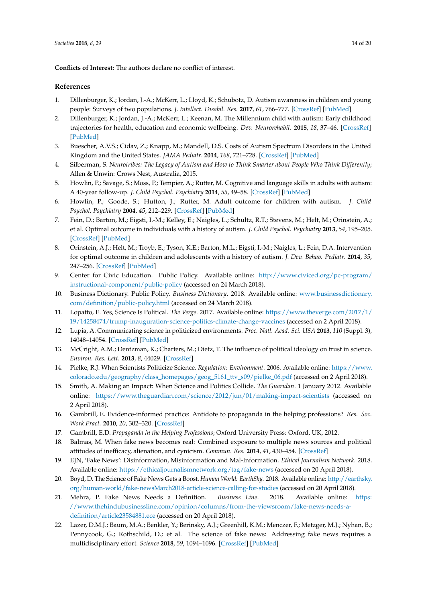**Conflicts of Interest:** The authors declare no conflict of interest.

# **References**

- <span id="page-13-0"></span>1. Dillenburger, K.; Jordan, J.-A.; McKerr, L.; Lloyd, K.; Schubotz, D. Autism awareness in children and young people: Surveys of two populations. *J. Intellect. Disabil. Res.* **2017**, *61*, 766–777. [\[CrossRef\]](http://dx.doi.org/10.1111/jir.12389) [\[PubMed\]](http://www.ncbi.nlm.nih.gov/pubmed/28593714)
- <span id="page-13-1"></span>2. Dillenburger, K.; Jordan, J.-A.; McKerr, L.; Keenan, M. The Millennium child with autism: Early childhood trajectories for health, education and economic wellbeing. *Dev. Neurorehabil.* **2015**, *18*, 37–46. [\[CrossRef\]](http://dx.doi.org/10.3109/17518423.2014.964378) [\[PubMed\]](http://www.ncbi.nlm.nih.gov/pubmed/25289682)
- <span id="page-13-2"></span>3. Buescher, A.V.S.; Cidav, Z.; Knapp, M.; Mandell, D.S. Costs of Autism Spectrum Disorders in the United Kingdom and the United States. *JAMA Pediatr.* **2014**, *168*, 721–728. [\[CrossRef\]](http://dx.doi.org/10.1001/jamapediatrics.2014.210) [\[PubMed\]](http://www.ncbi.nlm.nih.gov/pubmed/24911948)
- <span id="page-13-3"></span>4. Silberman, S. *Neurotribes: The Legacy of Autism and How to Think Smarter about People Who Think Differently*; Allen & Unwin: Crows Nest, Australia, 2015.
- <span id="page-13-4"></span>5. Howlin, P.; Savage, S.; Moss, P.; Tempier, A.; Rutter, M. Cognitive and language skills in adults with autism: A 40-year follow-up. *J. Child Psychol. Psychiatry* **2014**, *55*, 49–58. [\[CrossRef\]](http://dx.doi.org/10.1111/jcpp.12115) [\[PubMed\]](http://www.ncbi.nlm.nih.gov/pubmed/23848399)
- <span id="page-13-5"></span>6. Howlin, P.; Goode, S.; Hutton, J.; Rutter, M. Adult outcome for children with autism. *J. Child Psychol. Psychiatry* **2004**, *45*, 212–229. [\[CrossRef\]](http://dx.doi.org/10.1111/j.1469-7610.2004.00215.x) [\[PubMed\]](http://www.ncbi.nlm.nih.gov/pubmed/14982237)
- <span id="page-13-6"></span>7. Fein, D.; Barton, M.; Eigsti, I.-M.; Kelley, E.; Naigles, L.; Schultz, R.T.; Stevens, M.; Helt, M.; Orinstein, A.; et al. Optimal outcome in individuals with a history of autism. *J. Child Psychol. Psychiatry* **2013**, *54*, 195–205. [\[CrossRef\]](http://dx.doi.org/10.1111/jcpp.12037) [\[PubMed\]](http://www.ncbi.nlm.nih.gov/pubmed/23320807)
- <span id="page-13-7"></span>8. Orinstein, A.J.; Helt, M.; Troyb, E.; Tyson, K.E.; Barton, M.L.; Eigsti, I.-M.; Naigles, L.; Fein, D.A. Intervention for optimal outcome in children and adolescents with a history of autism. *J. Dev. Behav. Pediatr.* **2014**, *35*, 247–256. [\[CrossRef\]](http://dx.doi.org/10.1097/DBP.0000000000000037) [\[PubMed\]](http://www.ncbi.nlm.nih.gov/pubmed/24799263)
- <span id="page-13-8"></span>9. Center for Civic Education. Public Policy. Available online: [http://www.civiced.org/pc-program/](http://www.civiced.org/pc-program/instructional-component/public-policy) [instructional-component/public-policy](http://www.civiced.org/pc-program/instructional-component/public-policy) (accessed on 24 March 2018).
- <span id="page-13-9"></span>10. Business Dictionary. Public Policy. *Business Dictionary*. 2018. Available online: [www.businessdictionary.](www.businessdictionary.com/definition/public-policy.html) [com/definition/public-policy.html](www.businessdictionary.com/definition/public-policy.html) (accessed on 24 March 2018).
- <span id="page-13-10"></span>11. Lopatto, E. Yes, Science Is Political. *The Verge*. 2017. Available online: [https://www.theverge.com/2017/1/](https://www.theverge.com/2017/1/19/14258474/trump-inauguration-science-politics-climate-change-vaccines) [19/14258474/trump-inauguration-science-politics-climate-change-vaccines](https://www.theverge.com/2017/1/19/14258474/trump-inauguration-science-politics-climate-change-vaccines) (accessed on 2 April 2018).
- <span id="page-13-19"></span>12. Lupia, A. Communicating science in politicized environments. *Proc. Natl. Acad. Sci. USA* **2013**, *110* (Suppl. 3), 14048–14054. [\[CrossRef\]](http://dx.doi.org/10.1073/pnas.1212726110) [\[PubMed\]](http://www.ncbi.nlm.nih.gov/pubmed/23940336)
- 13. McCright, A.M.; Dentzman, K.; Charters, M.; Dietz, T. The influence of political ideology on trust in science. *Environ. Res. Lett.* **2013**, *8*, 44029. [\[CrossRef\]](http://dx.doi.org/10.1088/1748-9326/8/4/044029)
- 14. Pielke, R.J. When Scientists Politicize Science. *Regulation: Environment*. 2006. Available online: [https://www.](https://www.colorado.edu/geography/class_homepages/geog_5161_ttv_s09/pielke_06.pdf) [colorado.edu/geography/class\\_homepages/geog\\_5161\\_ttv\\_s09/pielke\\_06.pdf](https://www.colorado.edu/geography/class_homepages/geog_5161_ttv_s09/pielke_06.pdf) (accessed on 2 April 2018).
- <span id="page-13-11"></span>15. Smith, A. Making an Impact: When Science and Politics Collide. *The Guaridan*. 1 January 2012. Available online: <https://www.theguardian.com/science/2012/jun/01/making-impact-scientists> (accessed on 2 April 2018).
- <span id="page-13-12"></span>16. Gambrill, E. Evidence-informed practice: Antidote to propaganda in the helping professions? *Res. Soc. Work Pract.* **2010**, *20*, 302–320. [\[CrossRef\]](http://dx.doi.org/10.1177/1049731509347879)
- <span id="page-13-13"></span>17. Gambrill, E.D. *Propaganda in the Helping Professions*; Oxford University Press: Oxford, UK, 2012.
- <span id="page-13-14"></span>18. Balmas, M. When fake news becomes real: Combined exposure to multiple news sources and political attitudes of inefficacy, alienation, and cynicism. *Commun. Res.* **2014**, *41*, 430–454. [\[CrossRef\]](http://dx.doi.org/10.1177/0093650212453600)
- <span id="page-13-15"></span>19. EJN, 'Fake News': Disinformation, Misinformation and Mal-Information. *Ethical Journalism Network*. 2018. Available online: <https://ethicaljournalismnetwork.org/tag/fake-news> (accessed on 20 April 2018).
- <span id="page-13-16"></span>20. Boyd, D. The Science of Fake News Gets a Boost. *Human World: EarthSky*. 2018. Available online: [http://earthsky.](http://earthsky.org/human-world/fake-news March 2018-article-science-calling-for-studies) [org/human-world/fake-newsMarch2018-article-science-calling-for-studies](http://earthsky.org/human-world/fake-news March 2018-article-science-calling-for-studies) (accessed on 20 April 2018).
- <span id="page-13-17"></span>21. Mehra, P. Fake News Needs a Definition. *Business Line*. 2018. Available online: [https:](https://www.thehindubusinessline.com/opinion/columns/from-the-viewsroom/fake-news-needs-a-definition/article23584881.ece) [//www.thehindubusinessline.com/opinion/columns/from-the-viewsroom/fake-news-needs-a](https://www.thehindubusinessline.com/opinion/columns/from-the-viewsroom/fake-news-needs-a-definition/article23584881.ece)[definition/article23584881.ece](https://www.thehindubusinessline.com/opinion/columns/from-the-viewsroom/fake-news-needs-a-definition/article23584881.ece) (accessed on 20 April 2018).
- <span id="page-13-18"></span>22. Lazer, D.M.J.; Baum, M.A.; Benkler, Y.; Berinsky, A.J.; Greenhill, K.M.; Menczer, F.; Metzger, M.J.; Nyhan, B.; Pennycook, G.; Rothschild, D.; et al. The science of fake news: Addressing fake news requires a multidisciplinary effort. *Science* **2018**, *59*, 1094–1096. [\[CrossRef\]](http://dx.doi.org/10.1126/science.aao2998) [\[PubMed\]](http://www.ncbi.nlm.nih.gov/pubmed/29590025)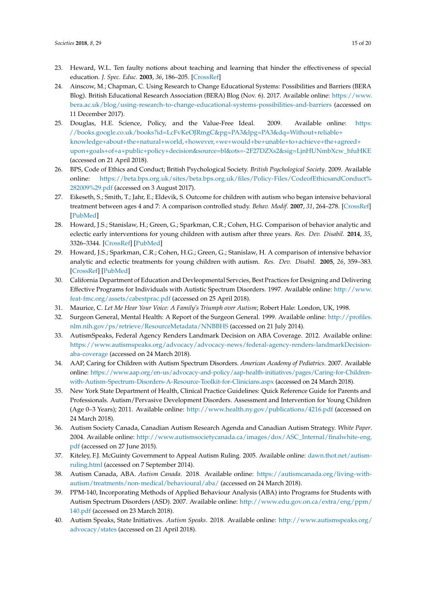- <span id="page-14-0"></span>23. Heward, W.L. Ten faulty notions about teaching and learning that hinder the effectiveness of special education. *J. Spec. Educ.* **2003**, *36*, 186–205. [\[CrossRef\]](http://dx.doi.org/10.1177/002246690303600401)
- <span id="page-14-1"></span>24. Ainscow, M.; Chapman, C. Using Research to Change Educational Systems: Possibilities and Barriers (BERA Blog). British Educational Research Association (BERA) Blog (Nov. 6). 2017. Available online: [https://www.](https://www.bera.ac.uk/blog/using-research-to-change-educational-systems-possibilities-and-barriers) [bera.ac.uk/blog/using-research-to-change-educational-systems-possibilities-and-barriers](https://www.bera.ac.uk/blog/using-research-to-change-educational-systems-possibilities-and-barriers) (accessed on 11 December 2017).
- <span id="page-14-2"></span>25. Douglas, H.E. Science, Policy, and the Value-Free Ideal. 2009. Available online: [https:](https://books.google.co.uk/books?id=LcFvKeOJRmgC&pg=PA3&lpg=PA3&dq=Without+reliable+knowledge+about+the+natural+world,+however,+we+would+be+unable+to+achieve+the+agreed+upon+goals+of+a+public+policy+decision&source=bl&ots=-2F27DZXs2&sig=LjnHUNmbXcw_hfuHKE) [//books.google.co.uk/books?id=LcFvKeOJRmgC&pg=PA3&lpg=PA3&dq=Without+reliable+](https://books.google.co.uk/books?id=LcFvKeOJRmgC&pg=PA3&lpg=PA3&dq=Without+reliable+knowledge+about+the+natural+world,+however,+we+would+be+unable+to+achieve+the+agreed+upon+goals+of+a+public+policy+decision&source=bl&ots=-2F27DZXs2&sig=LjnHUNmbXcw_hfuHKE) [knowledge+about+the+natural+world,+however,+we+would+be+unable+to+achieve+the+agreed+](https://books.google.co.uk/books?id=LcFvKeOJRmgC&pg=PA3&lpg=PA3&dq=Without+reliable+knowledge+about+the+natural+world,+however,+we+would+be+unable+to+achieve+the+agreed+upon+goals+of+a+public+policy+decision&source=bl&ots=-2F27DZXs2&sig=LjnHUNmbXcw_hfuHKE) [upon+goals+of+a+public+policy+decision&source=bl&ots=-2F27DZXs2&sig=LjnHUNmbXcw\\_hfuHKE](https://books.google.co.uk/books?id=LcFvKeOJRmgC&pg=PA3&lpg=PA3&dq=Without+reliable+knowledge+about+the+natural+world,+however,+we+would+be+unable+to+achieve+the+agreed+upon+goals+of+a+public+policy+decision&source=bl&ots=-2F27DZXs2&sig=LjnHUNmbXcw_hfuHKE) (accessed on 21 April 2018).
- <span id="page-14-3"></span>26. BPS, Code of Ethics and Conduct; British Psychological Society. *British Psychological Society*. 2009. Available online: [https://beta.bps.org.uk/sites/beta.bps.org.uk/files/Policy-Files/CodeofEthicsandConduct%](https://beta.bps.org.uk/sites/beta.bps.org.uk/files/Policy-Files/Code of Ethics and Conduct %282009%29.pdf) [282009%29.pdf](https://beta.bps.org.uk/sites/beta.bps.org.uk/files/Policy-Files/Code of Ethics and Conduct %282009%29.pdf) (accessed on 3 August 2017).
- <span id="page-14-4"></span>27. Eikeseth, S.; Smith, T.; Jahr, E.; Eldevik, S. Outcome for children with autism who began intensive behavioral treatment between ages 4 and 7: A comparison controlled study. *Behav. Modif.* **2007**, *31*, 264–278. [\[CrossRef\]](http://dx.doi.org/10.1177/0145445506291396) [\[PubMed\]](http://www.ncbi.nlm.nih.gov/pubmed/17438342)
- <span id="page-14-17"></span>28. Howard, J.S.; Stanislaw, H.; Green, G.; Sparkman, C.R.; Cohen, H.G. Comparison of behavior analytic and eclectic early interventions for young children with autism after three years. *Res. Dev. Disabil.* **2014**, *35*, 3326–3344. [\[CrossRef\]](http://dx.doi.org/10.1016/j.ridd.2014.08.021) [\[PubMed\]](http://www.ncbi.nlm.nih.gov/pubmed/25190094)
- <span id="page-14-5"></span>29. Howard, J.S.; Sparkman, C.R.; Cohen, H.G.; Green, G.; Stanislaw, H. A comparison of intensive behavior analytic and eclectic treatments for young children with autism. *Res. Dev. Disabil.* **2005**, *26*, 359–383. [\[CrossRef\]](http://dx.doi.org/10.1016/j.ridd.2004.09.005) [\[PubMed\]](http://www.ncbi.nlm.nih.gov/pubmed/15766629)
- <span id="page-14-6"></span>30. California Department of Education and Devleopmental Servcies, Best Practices for Designing and Delivering Effective Programs for Individuals with Autistic Spectrum Disorders. 1997. Available online: [http://www.](http://www.feat-fmc.org/assets/cabestprac.pdf) [feat-fmc.org/assets/cabestprac.pdf](http://www.feat-fmc.org/assets/cabestprac.pdf) (accessed on 25 April 2018).
- <span id="page-14-7"></span>31. Maurice, C. *Let Me Hear Your Voice: A Family's Triumph over Autism*; Robert Hale: London, UK, 1998.
- <span id="page-14-8"></span>32. Surgeon General, Mental Health: A Report of the Surgeon General. 1999. Available online: [http://profiles.](http://profiles.nlm.nih.gov/ps/retrieve/ResourceMetadata/NNBBHS) [nlm.nih.gov/ps/retrieve/ResourceMetadata/NNBBHS](http://profiles.nlm.nih.gov/ps/retrieve/ResourceMetadata/NNBBHS) (accessed on 21 July 2014).
- <span id="page-14-9"></span>33. AutismSpeaks, Federal Agency Renders Landmark Decision on ABA Coverage. 2012. Available online: [https://www.autismspeaks.org/advocacy/advocacy-news/federal-agency-renders-landmarkDecision](https://www.autismspeaks.org/advocacy/advocacy-news/federal-agency-renders-landmark Decision-aba-coverage)[aba-coverage](https://www.autismspeaks.org/advocacy/advocacy-news/federal-agency-renders-landmark Decision-aba-coverage) (accessed on 24 March 2018).
- <span id="page-14-10"></span>34. AAP, Caring for Children with Autism Spectrum Disorders. *American Academy of Pediatrics*. 2007. Available online: [https://www.aap.org/en-us/advocacy-and-policy/aap-health-initiatives/pages/Caring-for-Children](https://www.aap.org/en-us/advocacy-and-policy/aap-health-initiatives/pages/Caring-for-Children-with-Autism-Spectrum-Disorders-A-Resource-Toolkit-for-Clinicians.aspx)[with-Autism-Spectrum-Disorders-A-Resource-Toolkit-for-Clinicians.aspx](https://www.aap.org/en-us/advocacy-and-policy/aap-health-initiatives/pages/Caring-for-Children-with-Autism-Spectrum-Disorders-A-Resource-Toolkit-for-Clinicians.aspx) (accessed on 24 March 2018).
- <span id="page-14-11"></span>35. New York State Department of Health, Clinical Practice Guidelines: Quick Reference Guide for Parents and Professionals. Autism/Pervasive Development Disorders. Assessment and Intervention for Young Children (Age 0–3 Years); 2011. Available online: <http://www.health.ny.gov/publications/4216.pdf> (accessed on 24 March 2018).
- <span id="page-14-12"></span>36. Autism Society Canada, Canadian Autism Research Agenda and Canadian Autism Strategy. *White Paper*. 2004. Available online: [http://www.autismsocietycanada.ca/images/dox/ASC\\_Internal/finalwhite-eng.](http://www.autismsocietycanada.ca/images/dox/ASC_Internal/finalwhite-eng.pdf) [pdf](http://www.autismsocietycanada.ca/images/dox/ASC_Internal/finalwhite-eng.pdf) (accessed on 27 June 2015).
- <span id="page-14-13"></span>37. Kiteley, F.J. McGuinty Government to Appeal Autism Ruling. 2005. Available online: [dawn.thot.net/autism](dawn.thot.net/autism-ruling.html)[ruling.html](dawn.thot.net/autism-ruling.html) (accessed on 7 September 2014).
- <span id="page-14-14"></span>38. Autism Canada, ABA. *Autism Canada*. 2018. Available online: [https://autismcanada.org/living-with](https://autismcanada.org/living-with-autism/treatments/non-medical/behavioural/aba/)[autism/treatments/non-medical/behavioural/aba/](https://autismcanada.org/living-with-autism/treatments/non-medical/behavioural/aba/) (accessed on 24 March 2018).
- <span id="page-14-15"></span>39. PPM-140, Incorporating Methods of Applied Behaviour Analysis (ABA) into Programs for Students with Autism Spectrum Disorders (ASD). 2007. Available online: [http://www.edu.gov.on.ca/extra/eng/ppm/](http://www.edu.gov.on.ca/extra/eng/ppm/140.pdf) [140.pdf](http://www.edu.gov.on.ca/extra/eng/ppm/140.pdf) (accessed on 23 March 2018).
- <span id="page-14-16"></span>40. Autism Speaks, State Initiatives. *Autism Speaks*. 2018. Available online: [http://www.autismspeaks.org/](http://www.autismspeaks.org/advocacy/states) [advocacy/states](http://www.autismspeaks.org/advocacy/states) (accessed on 21 April 2018).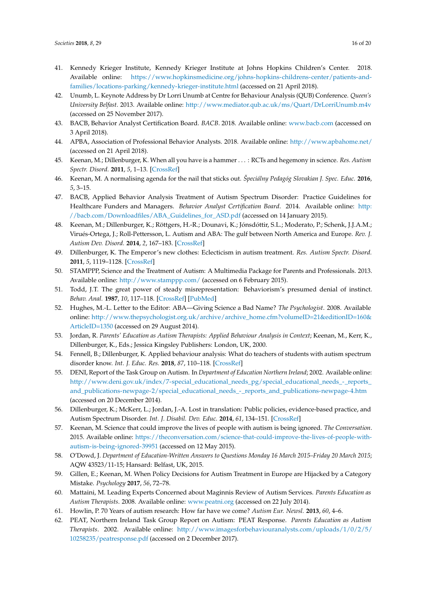- <span id="page-15-0"></span>41. Kennedy Krieger Institute, Kennedy Krieger Institute at Johns Hopkins Children's Center. 2018. Available online: [https://www.hopkinsmedicine.org/johns-hopkins-childrens-center/patients-and](https://www.hopkinsmedicine.org/johns-hopkins-childrens-center/patients-and-families/locations-parking/kennedy-krieger-institute.html)[families/locations-parking/kennedy-krieger-institute.html](https://www.hopkinsmedicine.org/johns-hopkins-childrens-center/patients-and-families/locations-parking/kennedy-krieger-institute.html) (accessed on 21 April 2018).
- <span id="page-15-1"></span>42. Unumb, L. Keynote Address by Dr Lorri Unumb at Centre for Behaviour Analysis (QUB) Conference. *Queen's University Belfast*. 2013. Available online: <http://www.mediator.qub.ac.uk/ms/Quart/DrLorriUnumb.m4v> (accessed on 25 November 2017).
- <span id="page-15-2"></span>43. BACB, Behavior Analyst Certification Board. *BACB*. 2018. Available online: <www.bacb.com> (accessed on 3 April 2018).
- <span id="page-15-3"></span>44. APBA, Association of Professional Behavior Analysts. 2018. Available online: <http://www.apbahome.net/> (accessed on 21 April 2018).
- <span id="page-15-4"></span>45. Keenan, M.; Dillenburger, K. When all you have is a hammer . . . : RCTs and hegemony in science. *Res. Autism Spectr. Disord.* **2011**, *5*, 1–13. [\[CrossRef\]](http://dx.doi.org/10.1016/j.rasd.2010.02.003)
- <span id="page-15-5"></span>46. Keenan, M. A normalising agenda for the nail that sticks out. *Špeciálny Pedagóg Slovakian J. Spec. Educ.* **2016**, *5*, 3–15.
- <span id="page-15-6"></span>47. BACB, Applied Behavior Analysis Treatment of Autism Spectrum Disorder: Practice Guidelines for Healthcare Funders and Managers. *Behavior Analyst Certification Board*. 2014. Available online: [http:](http://bacb.com/Downloadfiles/ABA_Guidelines_for_ASD.pdf) [//bacb.com/Downloadfiles/ABA\\_Guidelines\\_for\\_ASD.pdf](http://bacb.com/Downloadfiles/ABA_Guidelines_for_ASD.pdf) (accessed on 14 January 2015).
- <span id="page-15-7"></span>48. Keenan, M.; Dillenburger, K.; Röttgers, H.-R.; Dounavi, K.; Jónsdóttir, S.L.; Moderato, P.; Schenk, J.J.A.M.; Virués-Ortega, J.; Roll-Pettersson, L. Autism and ABA: The gulf between North America and Europe. *Rev. J. Autism Dev. Disord.* **2014**, *2*, 167–183. [\[CrossRef\]](http://dx.doi.org/10.1007/s40489-014-0045-2)
- <span id="page-15-8"></span>49. Dillenburger, K. The Emperor's new clothes: Eclecticism in autism treatment. *Res. Autism Spectr. Disord.* **2011**, *5*, 1119–1128. [\[CrossRef\]](http://dx.doi.org/10.1016/j.rasd.2010.12.008)
- <span id="page-15-9"></span>50. STAMPPP, Science and the Treatment of Autism: A Multimedia Package for Parents and Professionals. 2013. Available online: <http://www.stamppp.com/> (accessed on 6 February 2015).
- <span id="page-15-10"></span>51. Todd, J.T. The great power of steady misrepresentation: Behaviorism's presumed denial of instinct. *Behav. Anal.* **1987**, *10*, 117–118. [\[CrossRef\]](http://dx.doi.org/10.1007/BF03392419) [\[PubMed\]](http://www.ncbi.nlm.nih.gov/pubmed/22477967)
- <span id="page-15-11"></span>52. Hughes, M.-L. Letter to the Editor: ABA—Giving Science a Bad Name? *The Psychologist*. 2008. Available online: [http://www.thepsychologist.org.uk/archive/archive\\_home.cfm?volumeID=21&editionID=160&](http://www.thepsychologist.org.uk/archive/archive_home.cfm?volumeID=21&editionID=160&ArticleID=1350) [ArticleID=1350](http://www.thepsychologist.org.uk/archive/archive_home.cfm?volumeID=21&editionID=160&ArticleID=1350) (accessed on 29 August 2014).
- <span id="page-15-12"></span>53. Jordan, R. *Parents' Education as Autism Therapists: Applied Behaviour Analysis in Context*; Keenan, M., Kerr, K., Dillenburger, K., Eds.; Jessica Kingsley Publishers: London, UK, 2000.
- <span id="page-15-13"></span>54. Fennell, B.; Dillenburger, K. Applied behaviour analysis: What do teachers of students with autism spectrum disorder know. *Int. J. Educ. Res.* **2018**, *87*, 110–118. [\[CrossRef\]](http://dx.doi.org/10.1016/j.ijer.2016.06.012)
- <span id="page-15-14"></span>55. DENI, Report of the Task Group on Autism. In *Department of Education Northern Ireland*; 2002. Available online: [http://www.deni.gov.uk/index/7-special\\_educational\\_needs\\_pg/special\\_educational\\_needs\\_-\\_reports\\_](http://www.deni.gov.uk/index/7-special_educational_needs_pg/special_educational_needs_-_reports_and_publications-newpage-2/special_educational_needs_-_reports_and_publications-newpage-4.htm) [and\\_publications-newpage-2/special\\_educational\\_needs\\_-\\_reports\\_and\\_publications-newpage-4.htm](http://www.deni.gov.uk/index/7-special_educational_needs_pg/special_educational_needs_-_reports_and_publications-newpage-2/special_educational_needs_-_reports_and_publications-newpage-4.htm) (accessed on 20 December 2014).
- <span id="page-15-15"></span>56. Dillenburger, K.; McKerr, L.; Jordan, J.-A. Lost in translation: Public policies, evidence-based practice, and Autism Spectrum Disorder. *Int. J. Disabil. Dev. Educ.* **2014**, *61*, 134–151. [\[CrossRef\]](http://dx.doi.org/10.1080/1034912X.2014.905059)
- <span id="page-15-16"></span>57. Keenan, M. Science that could improve the lives of people with autism is being ignored. *The Conversation*. 2015. Available online: [https://theconversation.com/science-that-could-improve-the-lives-of-people-with](https://theconversation.com/science-that-could-improve-the-lives-of-people-with-autism-is-being-ignored-39951)[autism-is-being-ignored-39951](https://theconversation.com/science-that-could-improve-the-lives-of-people-with-autism-is-being-ignored-39951) (accessed on 12 May 2015).
- <span id="page-15-17"></span>58. O'Dowd, J. *Department of Education-Written Answers to Questions Monday 16 March 2015–Friday 20 March 2015*; AQW 43523/11-15; Hansard: Belfast, UK, 2015.
- <span id="page-15-18"></span>59. Gillen, E.; Keenan, M. When Policy Decisions for Autism Treatment in Europe are Hijacked by a Category Mistake. *Psychology* **2017**, *56*, 72–78.
- <span id="page-15-19"></span>60. Mattaini, M. Leading Experts Concerned about Maginnis Review of Autism Services. *Parents Education as Autism Therapists*. 2008. Available online: <www.peatni.org> (accessed on 22 July 2014).
- <span id="page-15-20"></span>61. Howlin, P. 70 Years of autism research: How far have we come? *Autism Eur. Newsl.* **2013**, *60*, 4–6.
- <span id="page-15-21"></span>62. PEAT, Northern Ireland Task Group Report on Autism: PEAT Response. *Parents Education as Autism Therapists*. 2002. Available online: [http://www.imagesforbehaviouranalysts.com/uploads/1/0/2/5/](http://www.imagesforbehaviouranalysts.com/uploads/1/0/2/5/10258235/peatresponse.pdf) [10258235/peatresponse.pdf](http://www.imagesforbehaviouranalysts.com/uploads/1/0/2/5/10258235/peatresponse.pdf) (accessed on 2 December 2017).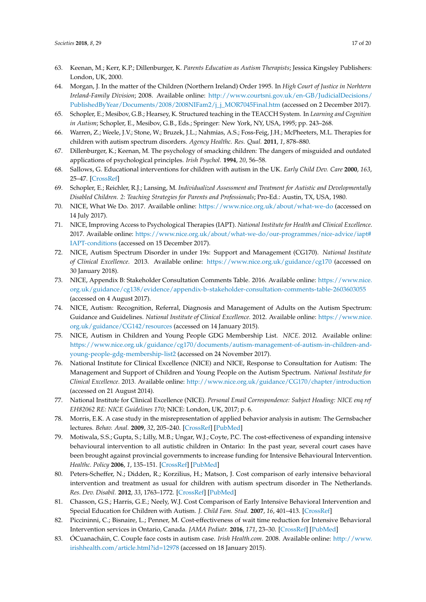- <span id="page-16-0"></span>63. Keenan, M.; Kerr, K.P.; Dillenburger, K. *Parents Education as Autism Therapists*; Jessica Kingsley Publishers: London, UK, 2000.
- <span id="page-16-1"></span>64. Morgan, J. In the matter of the Children (Northern Ireland) Order 1995. In *High Court of Justice in Norhtern Ireland-Family Division*; 2008. Available online: [http://www.courtsni.gov.uk/en-GB/JudicialDecisions/](http://www.courtsni.gov.uk/en-GB/JudicialDecisions/PublishedByYear/Documents/2008/2008NIFam2/j_j_MOR7045Final.htm) [PublishedByYear/Documents/2008/2008NIFam2/j\\_j\\_MOR7045Final.htm](http://www.courtsni.gov.uk/en-GB/JudicialDecisions/PublishedByYear/Documents/2008/2008NIFam2/j_j_MOR7045Final.htm) (accessed on 2 December 2017).
- <span id="page-16-2"></span>65. Schopler, E.; Mesibov, G.B.; Hearsey, K. Structured teaching in the TEACCH System. In *Learning and Cognition in Autism*; Schopler, E., Mesibov, G.B., Eds.; Springer: New York, NY, USA, 1995; pp. 243–268.
- <span id="page-16-3"></span>66. Warren, Z.; Weele, J.V.; Stone, W.; Bruzek, J.L.; Nahmias, A.S.; Foss-Feig, J.H.; McPheeters, M.L. Therapies for children with autism spectrum disorders. *Agency Healthc. Res. Qual.* **2011**, *1*, 878–880.
- <span id="page-16-4"></span>67. Dillenburger, K.; Keenan, M. The psychology of smacking children: The dangers of misguided and outdated applications of psychological principles. *Irish Psychol.* **1994**, *20*, 56–58.
- <span id="page-16-5"></span>68. Sallows, G. Educational interventions for children with autism in the UK. *Early Child Dev. Care* **2000**, *163*, 25–47. [\[CrossRef\]](http://dx.doi.org/10.1080/0300443001630103)
- <span id="page-16-6"></span>69. Schopler, E.; Reichler, R.J.; Lansing, M. *Individualized Assessment and Treatment for Autistic and Developmentally Disabled Children. 2: Teaching Strategies for Parents and Professionals*; Pro-Ed.: Austin, TX, USA, 1980.
- <span id="page-16-7"></span>70. NICE, What We Do. 2017. Available online: <https://www.nice.org.uk/about/what-we-do> (accessed on 14 July 2017).
- <span id="page-16-8"></span>71. NICE, Improving Access to Psychological Therapies (IAPT). *National Institute for Health and Clinical Excellence*. 2017. Available online: [https://www.nice.org.uk/about/what-we-do/our-programmes/nice-advice/iapt#](https://www.nice.org.uk/about/what-we-do/our-programmes/nice-advice/iapt#IAPT-conditions) [IAPT-conditions](https://www.nice.org.uk/about/what-we-do/our-programmes/nice-advice/iapt#IAPT-conditions) (accessed on 15 December 2017).
- <span id="page-16-9"></span>72. NICE, Autism Spectrum Disorder in under 19s: Support and Management (CG170). *National Institute of Clinical Excellence*. 2013. Available online: <https://www.nice.org.uk/guidance/cg170> (accessed on 30 January 2018).
- <span id="page-16-10"></span>73. NICE, Appendix B: Stakeholder Consultation Comments Table. 2016. Available online: [https://www.nice.](https://www.nice.org.uk/guidance/cg138/evidence/appendix-b-stakeholder-consultation-comments-table-2603603055) [org.uk/guidance/cg138/evidence/appendix-b-stakeholder-consultation-comments-table-2603603055](https://www.nice.org.uk/guidance/cg138/evidence/appendix-b-stakeholder-consultation-comments-table-2603603055) (accessed on 4 August 2017).
- <span id="page-16-11"></span>74. NICE, Autism: Recognition, Referral, Diagnosis and Management of Adults on the Autism Spectrum: Guidance and Guidelines. *National Institute of Clinical Excellence*. 2012. Available online: [https://www.nice.](https://www.nice.org.uk/guidance/CG142/resources) [org.uk/guidance/CG142/resources](https://www.nice.org.uk/guidance/CG142/resources) (accessed on 14 January 2015).
- <span id="page-16-12"></span>75. NICE, Autism in Children and Young People GDG Membership List. *NICE*. 2012. Available online: [https://www.nice.org.uk/guidance/cg170/documents/autism-management-of-autism-in-children-and](https://www.nice.org.uk/guidance/cg170/documents/autism-management-of-autism-in-children-and-young-people-gdg-membership-list2)[young-people-gdg-membership-list2](https://www.nice.org.uk/guidance/cg170/documents/autism-management-of-autism-in-children-and-young-people-gdg-membership-list2) (accessed on 24 November 2017).
- <span id="page-16-13"></span>76. National Institute for Clinical Excellence (NICE) and NICE, Response to Consultation for Autism: The Management and Support of Children and Young People on the Autism Spectrum. *National Institute for Clinical Excellence*. 2013. Available online: <http://www.nice.org.uk/guidance/CG170/chapter/introduction> (accessed on 21 August 2014).
- <span id="page-16-14"></span>77. National Institute for Clinical Excellence (NICE). *Personal Email Correspondence: Subject Heading: NICE enq ref EH82062 RE: NICE Guidelines 170*; NICE: London, UK, 2017; p. 6.
- <span id="page-16-15"></span>78. Morris, E.K. A case study in the misrepresentation of applied behavior analysis in autism: The Gernsbacher lectures. *Behav. Anal.* **2009**, *32*, 205–240. [\[CrossRef\]](http://dx.doi.org/10.1007/BF03392184) [\[PubMed\]](http://www.ncbi.nlm.nih.gov/pubmed/22478522)
- <span id="page-16-16"></span>79. Motiwala, S.S.; Gupta, S.; Lilly, M.B.; Ungar, W.J.; Coyte, P.C. The cost-effectiveness of expanding intensive behavioural intervention to all autistic children in Ontario: In the past year, several court cases have been brought against provincial governments to increase funding for Intensive Behavioural Intervention. *Healthc. Policy* **2006**, *1*, 135–151. [\[CrossRef\]](http://dx.doi.org/10.12927/hcpol.2006.17884) [\[PubMed\]](http://www.ncbi.nlm.nih.gov/pubmed/19305662)
- 80. Peters-Scheffer, N.; Didden, R.; Korzilius, H.; Matson, J. Cost comparison of early intensive behavioral intervention and treatment as usual for children with autism spectrum disorder in The Netherlands. *Res. Dev. Disabil.* **2012**, *33*, 1763–1772. [\[CrossRef\]](http://dx.doi.org/10.1016/j.ridd.2012.04.006) [\[PubMed\]](http://www.ncbi.nlm.nih.gov/pubmed/22705454)
- 81. Chasson, G.S.; Harris, G.E.; Neely, W.J. Cost Comparison of Early Intensive Behavioral Intervention and Special Education for Children with Autism. *J. Child Fam. Stud.* **2007**, *16*, 401–413. [\[CrossRef\]](http://dx.doi.org/10.1007/s10826-006-9094-1)
- 82. Piccininni, C.; Bisnaire, L.; Penner, M. Cost-effectiveness of wait time reduction for Intensive Behavioral Intervention services in Ontario, Canada. *JAMA Pediatr.* **2016**, *171*, 23–30. [\[CrossRef\]](http://dx.doi.org/10.1001/jamapediatrics.2016.2695) [\[PubMed\]](http://www.ncbi.nlm.nih.gov/pubmed/27842183)
- <span id="page-16-17"></span>83. ÓCuanacháin, C. Couple face costs in autism case. *Irish Health.com*. 2008. Available online: [http://www.](http://www.irishhealth.com/article.html?id=12978) [irishhealth.com/article.html?id=12978](http://www.irishhealth.com/article.html?id=12978) (accessed on 18 January 2015).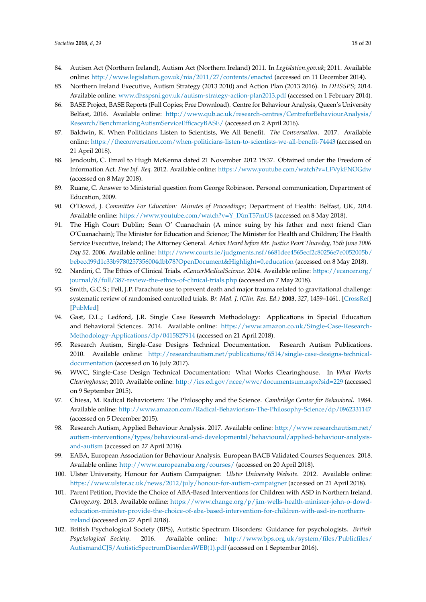- <span id="page-17-0"></span>84. Autism Act (Northern Ireland), Autism Act (Northern Ireland) 2011. In *Legislation.gov.uk*; 2011. Available online: <http://www.legislation.gov.uk/nia/2011/27/contents/enacted> (accessed on 11 December 2014).
- <span id="page-17-1"></span>85. Northern Ireland Executive, Autism Strategy (2013 2010) and Action Plan (2013 2016). In *DHSSPS*; 2014. Available online: [www.dhsspsni.gov.uk/autism-strategy-action-plan2013.pdf](www.dhsspsni.gov.uk/autism-strategy-action-plan 2013.pdf) (accessed on 1 February 2014).
- <span id="page-17-2"></span>86. BASE Project, BASE Reports (Full Copies; Free Download). Centre for Behaviour Analysis, Queen's University Belfast, 2016. Available online: [http://www.qub.ac.uk/research-centres/CentreforBehaviourAnalysis/](http://www.qub.ac.uk/research-centres/CentreforBehaviourAnalysis/Research/BenchmarkingAutismServiceEfficacyBASE/) [Research/BenchmarkingAutismServiceEfficacyBASE/](http://www.qub.ac.uk/research-centres/CentreforBehaviourAnalysis/Research/BenchmarkingAutismServiceEfficacyBASE/) (accessed on 2 April 2016).
- <span id="page-17-3"></span>87. Baldwin, K. When Politicians Listen to Scientists, We All Benefit. *The Conversation*. 2017. Available online: <https://theconversation.com/when-politicians-listen-to-scientists-we-all-benefit-74443> (accessed on 21 April 2018).
- <span id="page-17-4"></span>88. Jendoubi, C. Email to Hugh McKenna dated 21 November 2012 15:37. Obtained under the Freedom of Information Act. *Free Inf. Req.* 2012. Available online: <https://www.youtube.com/watch?v=LFVykFNOGdw> (accessed on 8 May 2018).
- <span id="page-17-5"></span>89. Ruane, C. Answer to Ministerial question from George Robinson. Personal communication, Department of Education, 2009.
- <span id="page-17-6"></span>90. O'Dowd, J. *Committee For Education: Minutes of Proceedings*; Department of Health: Belfast, UK, 2014. Available online: [https://www.youtube.com/watch?v=Y\\_IXmT57mU8](https://www.youtube.com/watch?v=Y_IXmT57mU8) (accessed on 8 May 2018).
- <span id="page-17-7"></span>91. The High Court Dublin; Sean O' Cuanachain (A minor suing by his father and next friend Cian O'Cuanachain); The Minister for Education and Science; The Minister for Health and Children; The Health Service Executive, Ireland; The Attorney General. *Action Heard before Mr. Justice Peart Thursday, 15th June 2006 Day 52*. 2006. Available online: [http://www.courts.ie/judgments.nsf/6681dee4565ecf2c80256e7e0052005b/](http://www.courts.ie/judgments.nsf/6681dee4565ecf2c80256e7e0052005b/bebecd99d1c33b9780257356004dbb78?OpenDocument&Highlight=0,education) [bebecd99d1c33b9780257356004dbb78?OpenDocument&Highlight=0,education](http://www.courts.ie/judgments.nsf/6681dee4565ecf2c80256e7e0052005b/bebecd99d1c33b9780257356004dbb78?OpenDocument&Highlight=0,education) (accessed on 8 May 2018).
- <span id="page-17-8"></span>92. Nardini, C. The Ethics of Clinical Trials. *eCancerMedicalScience*. 2014. Available online: [https://ecancer.org/](https://ecancer.org/journal/8/full/387-review-the-ethics-of-clinical-trials.php) [journal/8/full/387-review-the-ethics-of-clinical-trials.php](https://ecancer.org/journal/8/full/387-review-the-ethics-of-clinical-trials.php) (accessed on 7 May 2018).
- <span id="page-17-9"></span>93. Smith, G.C.S.; Pell, J.P. Parachute use to prevent death and major trauma related to gravitational challenge: systematic review of randomised controlled trials. *Br. Med. J. (Clin. Res. Ed.)* **2003**, *327*, 1459–1461. [\[CrossRef\]](http://dx.doi.org/10.1136/bmj.327.7429.1459) [\[PubMed\]](http://www.ncbi.nlm.nih.gov/pubmed/14684649)
- <span id="page-17-10"></span>94. Gast, D.L.; Ledford, J.R. Single Case Research Methodology: Applications in Special Education and Behavioral Sciences. 2014. Available online: [https://www.amazon.co.uk/Single-Case-Research-](https://www.amazon.co.uk/Single-Case-Research-Methodology-Applications/dp/0415827914)[Methodology-Applications/dp/0415827914](https://www.amazon.co.uk/Single-Case-Research-Methodology-Applications/dp/0415827914) (accessed on 21 April 2018).
- <span id="page-17-11"></span>95. Research Autism, Single-Case Designs Technical Documentation. Research Autism Publications. 2010. Available online: [http://researchautism.net/publications/6514/single-case-designs-technical](http://researchautism.net/publications/6514/single-case-designs-technical-documentation)[documentation](http://researchautism.net/publications/6514/single-case-designs-technical-documentation) (accessed on 16 July 2017).
- <span id="page-17-12"></span>96. WWC, Single-Case Design Technical Documentation: What Works Clearinghouse. In *What Works Clearinghouse*; 2010. Available online: <http://ies.ed.gov/ncee/wwc/documentsum.aspx?sid=229> (accessed on 9 September 2015).
- <span id="page-17-13"></span>97. Chiesa, M. Radical Behaviorism: The Philosophy and the Science. *Cambridge Center for Behavioral*. 1984. Available online: <http://www.amazon.com/Radical-Behaviorism-The-Philosophy-Science/dp/0962331147> (accessed on 5 December 2015).
- <span id="page-17-14"></span>98. Research Autism, Applied Behaviour Analysis. 2017. Available online: [http://www.researchautism.net/](http://www.researchautism.net/autism-interventions/types/behavioural-and-developmental/behavioural/applied-behaviour-analysis-and-autism) [autism-interventions/types/behavioural-and-developmental/behavioural/applied-behaviour-analysis](http://www.researchautism.net/autism-interventions/types/behavioural-and-developmental/behavioural/applied-behaviour-analysis-and-autism)[and-autism](http://www.researchautism.net/autism-interventions/types/behavioural-and-developmental/behavioural/applied-behaviour-analysis-and-autism) (accessed on 27 April 2018).
- <span id="page-17-15"></span>99. EABA, European Association for Behaviour Analysis. European BACB Validated Courses Sequences. 2018. Available online: <http://www.europeanaba.org/courses/> (accessed on 20 April 2018).
- <span id="page-17-16"></span>100. Ulster University, Honour for Autism Campaigner. *Ulster University Website*. 2012. Available online: <https://www.ulster.ac.uk/news/2012/july/honour-for-autism-campaigner> (accessed on 21 April 2018).
- <span id="page-17-17"></span>101. Parent Petition, Provide the Choice of ABA-Based Interventions for Children with ASD in Northern Ireland. *Change.org*. 2013. Available online: [https://www.change.org/p/jim-wells-health-minister-john-o-dowd](https://www.change.org/p/jim-wells-health-minister-john-o-dowd-education-minister-provide-the-choice-of-aba-based-intervention-for-children-with-asd-in-northern-ireland)[education-minister-provide-the-choice-of-aba-based-intervention-for-children-with-asd-in-northern](https://www.change.org/p/jim-wells-health-minister-john-o-dowd-education-minister-provide-the-choice-of-aba-based-intervention-for-children-with-asd-in-northern-ireland)[ireland](https://www.change.org/p/jim-wells-health-minister-john-o-dowd-education-minister-provide-the-choice-of-aba-based-intervention-for-children-with-asd-in-northern-ireland) (accessed on 27 April 2018).
- <span id="page-17-18"></span>102. British Psychological Society (BPS), Autistic Spectrum Disorders: Guidance for psychologists. *British Psychological Society*. 2016. Available online: [http://www.bps.org.uk/system/files/Publicfiles/](http://www.bps.org.uk/system/files/Public files/Autism and CJS/Autistic Spectrum Disorders WEB(1).pdf) [AutismandCJS/AutisticSpectrumDisordersWEB\(1\).pdf](http://www.bps.org.uk/system/files/Public files/Autism and CJS/Autistic Spectrum Disorders WEB(1).pdf) (accessed on 1 September 2016).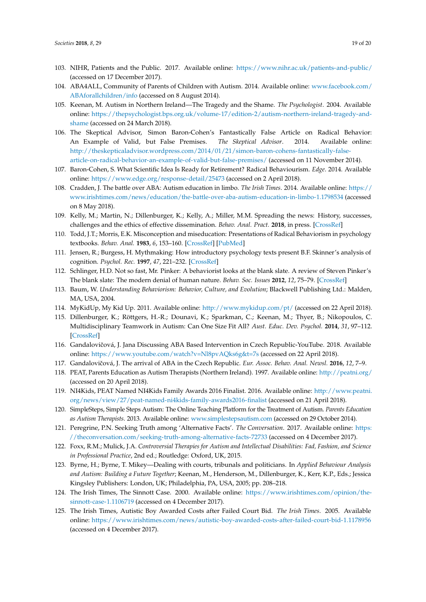- <span id="page-18-0"></span>103. NIHR, Patients and the Public. 2017. Available online: <https://www.nihr.ac.uk/patients-and-public/> (accessed on 17 December 2017).
- <span id="page-18-1"></span>104. ABA4ALL, Community of Parents of Children with Autism. 2014. Available online: [www.facebook.com/](www.facebook.com/ABAforallchildren/info) [ABAforallchildren/info](www.facebook.com/ABAforallchildren/info) (accessed on 8 August 2014).
- <span id="page-18-2"></span>105. Keenan, M. Autism in Northern Ireland—The Tragedy and the Shame. *The Psychologist*. 2004. Available online: [https://thepsychologist.bps.org.uk/volume-17/edition-2/autism-northern-ireland-tragedy-and](https://thepsychologist.bps.org.uk/volume-17/edition-2/autism-northern-ireland-tragedy-and-shame)[shame](https://thepsychologist.bps.org.uk/volume-17/edition-2/autism-northern-ireland-tragedy-and-shame) (accessed on 24 March 2018).
- <span id="page-18-3"></span>106. The Skeptical Advisor, Simon Baron-Cohen's Fantastically False Article on Radical Behavior: An Example of Valid, but False Premises. *The Skeptical Advisor*. 2014. Available online: [http://theskepticaladvisor.wordpress.com/2014/01/21/simon-baron-cohens-fantastically-false](http://theskepticaladvisor.wordpress.com/2014/01/21/simon-baron-cohens-fantastically-false-article-on-radical-behavior-an-example-of-valid-but-false-premises/)[article-on-radical-behavior-an-example-of-valid-but-false-premises/](http://theskepticaladvisor.wordpress.com/2014/01/21/simon-baron-cohens-fantastically-false-article-on-radical-behavior-an-example-of-valid-but-false-premises/) (accessed on 11 November 2014).
- 107. Baron-Cohen, S. What Scientific Idea Is Ready for Retirement? Radical Behaviourism. *Edge*. 2014. Available online: <https://www.edge.org/response-detail/25473> (accessed on 2 April 2018).
- <span id="page-18-4"></span>108. Cradden, J. The battle over ABA: Autism education in limbo. *The Irish Times*. 2014. Available online: [https://](https://www.irishtimes.com/news/education/the-battle-over-aba-autism-education-in-limbo-1.1798534) [www.irishtimes.com/news/education/the-battle-over-aba-autism-education-in-limbo-1.1798534](https://www.irishtimes.com/news/education/the-battle-over-aba-autism-education-in-limbo-1.1798534) (accessed on 8 May 2018).
- <span id="page-18-5"></span>109. Kelly, M.; Martin, N.; Dillenburger, K.; Kelly, A.; Miller, M.M. Spreading the news: History, successes, challenges and the ethics of effective dissemination. *Behav. Anal. Pract.* **2018**, in press. [\[CrossRef\]](http://dx.doi.org/10.1007/s40617-018-0238-8)
- <span id="page-18-6"></span>110. Todd, J.T.; Morris, E.K. Misconception and miseducation: Presentations of Radical Behaviorism in psychology textbooks. *Behav. Anal.* **1983**, *6*, 153–160. [\[CrossRef\]](http://dx.doi.org/10.1007/BF03392394) [\[PubMed\]](http://www.ncbi.nlm.nih.gov/pubmed/22478585)
- <span id="page-18-7"></span>111. Jensen, R.; Burgess, H. Mythmaking: How introductory psychology texts present B.F. Skinner's analysis of cognition. *Psychol. Rec.* **1997**, *47*, 221–232. [\[CrossRef\]](http://dx.doi.org/10.1007/BF03395221)
- <span id="page-18-8"></span>112. Schlinger, H.D. Not so fast, Mr. Pinker: A behaviorist looks at the blank slate. A review of Steven Pinker's The blank slate: The modern denial of human nature. *Behav. Soc. Issues* **2012**, *12*, 75–79. [\[CrossRef\]](http://dx.doi.org/10.5210/bsi.v12i1.81)
- <span id="page-18-9"></span>113. Baum, W. *Understanding Behaviorism: Behavior, Culture, and Evolution*; Blackwell Publishing Ltd.: Malden, MA, USA, 2004.
- <span id="page-18-10"></span>114. MyKidUp, My Kid Up. 2011. Available online: <http://www.mykidup.com/pt/> (accessed on 22 April 2018).
- <span id="page-18-11"></span>115. Dillenburger, K.; Röttgers, H.-R.; Dounavi, K.; Sparkman, C.; Keenan, M.; Thyer, B.; Nikopoulos, C. Multidisciplinary Teamwork in Autism: Can One Size Fit All? *Aust. Educ. Dev. Psychol.* **2014**, *31*, 97–112. [\[CrossRef\]](http://dx.doi.org/10.1017/edp.2014.13)
- <span id="page-18-12"></span>116. Gandalovičová, J. Jana Discussing ABA Based Intervention in Czech Republic-YouTube. 2018. Available online: <https://www.youtube.com/watch?v=Nl8pvAQks6g&t=7s> (accessed on 22 April 2018).
- <span id="page-18-13"></span>117. Gandalovičová, J. The arrival of ABA in the Czech Republic. *Eur. Assoc. Behav. Anal. Newsl.* 2016, 12, 7-9.
- <span id="page-18-14"></span>118. PEAT, Parents Education as Autism Therapists (Northern Ireland). 1997. Available online: <http://peatni.org/> (accessed on 20 April 2018).
- <span id="page-18-15"></span>119. NI4Kids, PEAT Named NI4Kids Family Awards 2016 Finalist. 2016. Available online: [http://www.peatni.](http://www.peatni.org/news/view/27/peat-named-ni4kids-family-awards 2016-finalist) [org/news/view/27/peat-named-ni4kids-family-awards2016-finalist](http://www.peatni.org/news/view/27/peat-named-ni4kids-family-awards 2016-finalist) (accessed on 21 April 2018).
- <span id="page-18-16"></span>120. SimpleSteps, Simple Steps Autism: The Online Teaching Platform for the Treatment of Autism. *Parents Education as Autism Therapists*. 2013. Available online: <www.simplestepsautism.com> (accessed on 29 October 2014).
- <span id="page-18-17"></span>121. Peregrine, P.N. Seeking Truth among 'Alternative Facts'. *The Conversation*. 2017. Available online: [https:](https://theconversation.com/seeking-truth-among-alternative-facts-72733) [//theconversation.com/seeking-truth-among-alternative-facts-72733](https://theconversation.com/seeking-truth-among-alternative-facts-72733) (accessed on 4 December 2017).
- <span id="page-18-18"></span>122. Foxx, R.M.; Mulick, J.A. *Controversial Therapies for Autism and Intellectual Disabilities: Fad, Fashion, and Science in Professional Practice*, 2nd ed.; Routledge: Oxford, UK, 2015.
- <span id="page-18-19"></span>123. Byrne, H.; Byrne, T. Mikey—Dealing with courts, tribunals and politicians. In *Applied Behaviour Analysis and Autism: Building a Future Together*; Keenan, M., Henderson, M., Dillenburger, K., Kerr, K.P., Eds.; Jessica Kingsley Publishers: London, UK; Philadelphia, PA, USA, 2005; pp. 208–218.
- 124. The Irish Times, The Sinnott Case. 2000. Available online: [https://www.irishtimes.com/opinion/the](https://www.irishtimes.com/opinion/the-sinnott-case-1.1106719)[sinnott-case-1.1106719](https://www.irishtimes.com/opinion/the-sinnott-case-1.1106719) (accessed on 4 December 2017).
- 125. The Irish Times, Autistic Boy Awarded Costs after Failed Court Bid. *The Irish Times*. 2005. Available online: <https://www.irishtimes.com/news/autistic-boy-awarded-costs-after-failed-court-bid-1.1178956> (accessed on 4 December 2017).